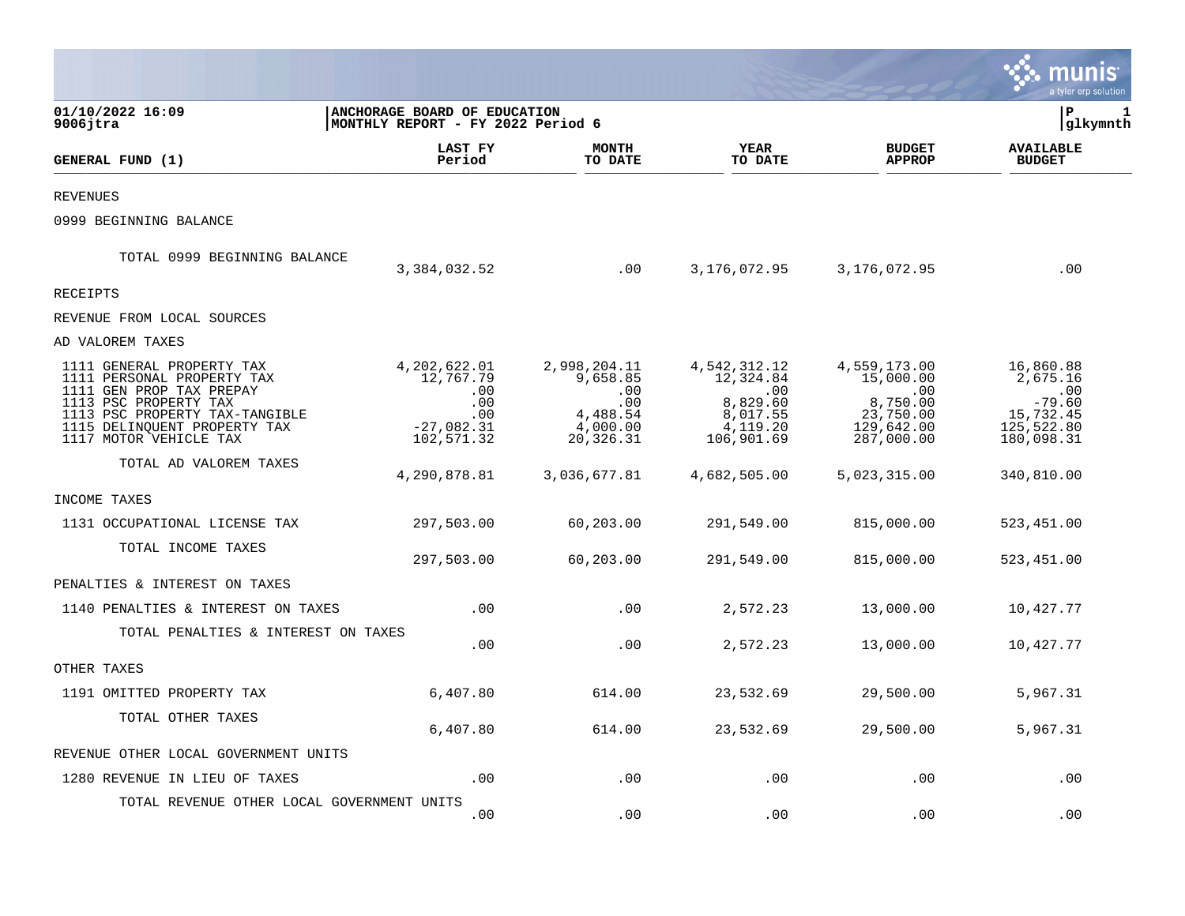|                                                                                                                   |                                                                   |                                        |                                                     |                                              | a tyler erp solution                     |
|-------------------------------------------------------------------------------------------------------------------|-------------------------------------------------------------------|----------------------------------------|-----------------------------------------------------|----------------------------------------------|------------------------------------------|
| 01/10/2022 16:09<br>$9006$ jtra                                                                                   | ANCHORAGE BOARD OF EDUCATION<br>MONTHLY REPORT - FY 2022 Period 6 |                                        |                                                     |                                              | ∣P<br>1<br> glkymnth                     |
| GENERAL FUND (1)                                                                                                  | LAST FY<br>Period                                                 | <b>MONTH</b><br>TO DATE                | YEAR<br>TO DATE                                     | <b>BUDGET</b><br><b>APPROP</b>               | <b>AVAILABLE</b><br><b>BUDGET</b>        |
| <b>REVENUES</b>                                                                                                   |                                                                   |                                        |                                                     |                                              |                                          |
| 0999 BEGINNING BALANCE                                                                                            |                                                                   |                                        |                                                     |                                              |                                          |
| TOTAL 0999 BEGINNING BALANCE                                                                                      | 3,384,032.52                                                      | .00                                    | 3,176,072.95                                        | 3,176,072.95                                 | .00                                      |
| RECEIPTS                                                                                                          |                                                                   |                                        |                                                     |                                              |                                          |
| REVENUE FROM LOCAL SOURCES                                                                                        |                                                                   |                                        |                                                     |                                              |                                          |
| AD VALOREM TAXES                                                                                                  |                                                                   |                                        |                                                     |                                              |                                          |
| 1111 GENERAL PROPERTY TAX<br>1111 PERSONAL PROPERTY TAX<br>1111 GEN PROP TAX PREPAY                               | 4,202,622.01<br>12,767.79<br>.00<br>.00                           | 2,998,204.11<br>9,658.85<br>.00<br>.00 | 4,542,312.12<br>12,324.84<br>$.00 \ \,$<br>8,829.60 | 4,559,173.00<br>15,000.00<br>.00<br>8,750.00 | 16,860.88<br>2,675.16<br>.00<br>$-79.60$ |
| 1113 PSC PROPERTY TAX<br>1113 PSC PROPERTY TAX-TANGIBLE<br>1115 DELINQUENT PROPERTY TAX<br>1117 MOTOR VEHICLE TAX | .00<br>$-27,082.31$<br>102,571.32                                 | 4,488.54<br>4,000.00<br>20,326.31      | 8,017.55<br>4,119.20<br>106,901.69                  | 23,750.00<br>129,642.00<br>287,000.00        | 15,732.45<br>125,522.80<br>180,098.31    |
| TOTAL AD VALOREM TAXES                                                                                            | 4,290,878.81                                                      | 3,036,677.81                           | 4,682,505.00                                        | 5,023,315.00                                 | 340,810.00                               |
| INCOME TAXES                                                                                                      |                                                                   |                                        |                                                     |                                              |                                          |
| 1131 OCCUPATIONAL LICENSE TAX                                                                                     | 297,503.00                                                        | 60,203.00                              | 291,549.00                                          | 815,000.00                                   | 523,451.00                               |
| TOTAL INCOME TAXES                                                                                                | 297,503.00                                                        | 60,203.00                              | 291,549.00                                          | 815,000.00                                   | 523,451.00                               |
| PENALTIES & INTEREST ON TAXES                                                                                     |                                                                   |                                        |                                                     |                                              |                                          |
| 1140 PENALTIES & INTEREST ON TAXES                                                                                | .00                                                               | .00                                    | 2,572.23                                            | 13,000.00                                    | 10,427.77                                |
| TOTAL PENALTIES & INTEREST ON TAXES                                                                               | .00                                                               | .00                                    | 2,572.23                                            | 13,000.00                                    | 10,427.77                                |
| OTHER TAXES                                                                                                       |                                                                   |                                        |                                                     |                                              |                                          |
| 1191 OMITTED PROPERTY TAX                                                                                         | 6,407.80                                                          | 614.00                                 | 23,532.69                                           | 29,500.00                                    | 5,967.31                                 |
| TOTAL OTHER TAXES                                                                                                 | 6,407.80                                                          | 614.00                                 | 23,532.69                                           | 29,500.00                                    | 5,967.31                                 |
| REVENUE OTHER LOCAL GOVERNMENT UNITS                                                                              |                                                                   |                                        |                                                     |                                              |                                          |
| 1280 REVENUE IN LIEU OF TAXES                                                                                     | .00                                                               | .00                                    | .00                                                 | .00                                          | .00                                      |
| TOTAL REVENUE OTHER LOCAL GOVERNMENT UNITS                                                                        | .00                                                               | .00                                    | .00                                                 | .00                                          | .00                                      |

 $\mathcal{L}^{\text{max}}$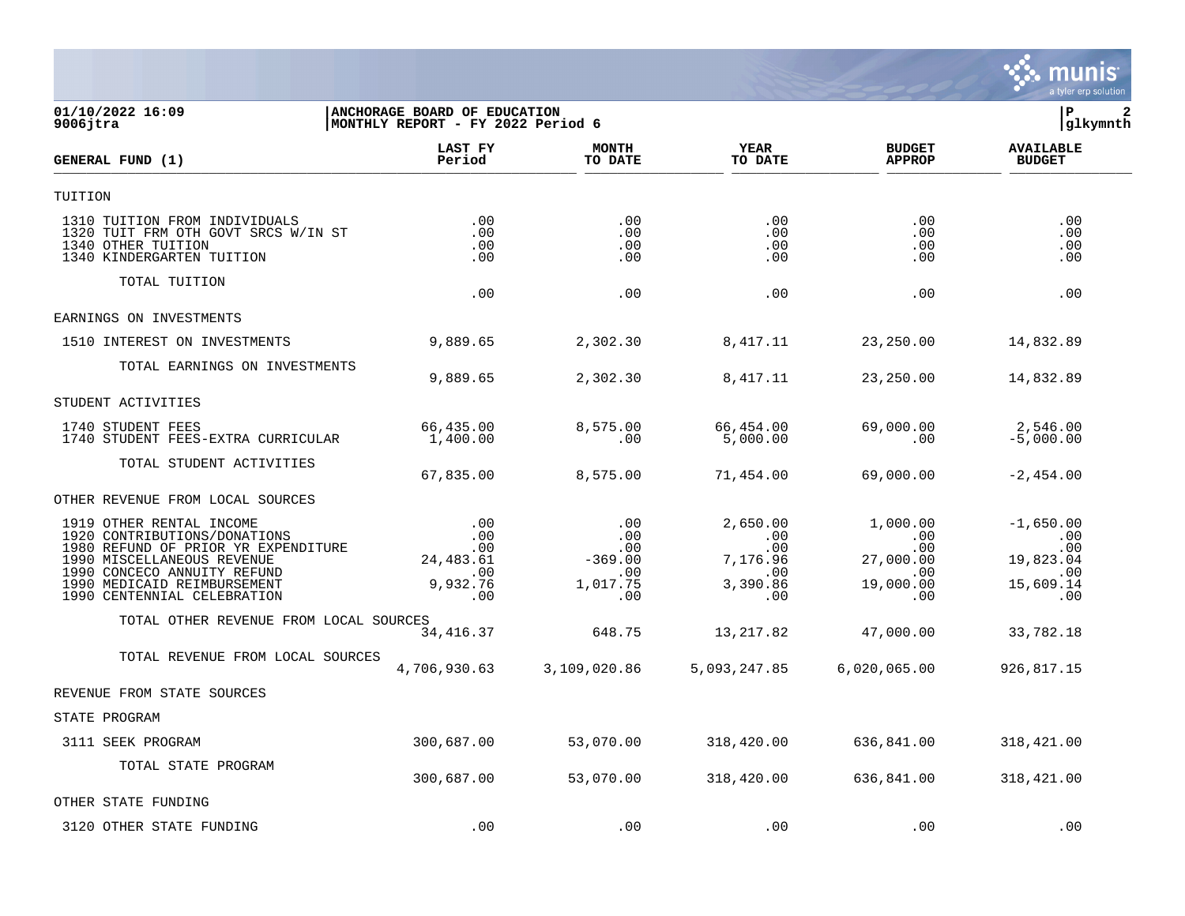

## **01/10/2022 16:09 |ANCHORAGE BOARD OF EDUCATION |P 2 9006jtra |MONTHLY REPORT - FY 2022 Period 6 |glkymnth**

| GENERAL FUND (1)                                                                                                                                                                                                           | LAST FY<br>Period                                              | <b>MONTH</b><br>TO DATE                                  | <b>YEAR</b><br>TO DATE                                       | <b>BUDGET</b><br><b>APPROP</b>                                           | <b>AVAILABLE</b><br><b>BUDGET</b>                                 |  |
|----------------------------------------------------------------------------------------------------------------------------------------------------------------------------------------------------------------------------|----------------------------------------------------------------|----------------------------------------------------------|--------------------------------------------------------------|--------------------------------------------------------------------------|-------------------------------------------------------------------|--|
| TUITION                                                                                                                                                                                                                    |                                                                |                                                          |                                                              |                                                                          |                                                                   |  |
| 1310 TUITION FROM INDIVIDUALS<br>1320 TUIT FRM OTH GOVT SRCS W/IN ST<br>1340 OTHER TUITION<br>1340 KINDERGARTEN TUITION                                                                                                    | .00<br>.00<br>.00<br>.00                                       | .00<br>.00<br>.00<br>.00                                 | .00<br>.00<br>.00<br>.00                                     | .00<br>.00<br>.00<br>$.00 \,$                                            | .00<br>.00<br>.00<br>.00                                          |  |
| TOTAL TUITION                                                                                                                                                                                                              | .00                                                            | .00                                                      | .00.                                                         | .00                                                                      | .00                                                               |  |
| EARNINGS ON INVESTMENTS                                                                                                                                                                                                    |                                                                |                                                          |                                                              |                                                                          |                                                                   |  |
| 1510 INTEREST ON INVESTMENTS                                                                                                                                                                                               | 9,889.65                                                       | 2,302.30                                                 | 8,417.11                                                     | 23, 250.00                                                               | 14,832.89                                                         |  |
| TOTAL EARNINGS ON INVESTMENTS                                                                                                                                                                                              | 9,889.65                                                       | 2,302.30                                                 | 8,417.11                                                     | 23,250.00                                                                | 14,832.89                                                         |  |
| STUDENT ACTIVITIES                                                                                                                                                                                                         |                                                                |                                                          |                                                              |                                                                          |                                                                   |  |
| 1740 STUDENT FEES<br>1740 STUDENT FEES-EXTRA CURRICULAR                                                                                                                                                                    | 66,435.00<br>1,400.00                                          | 8,575.00<br>.00                                          | 66,454.00<br>5,000.00                                        | 69,000.00<br>.00                                                         | 2,546.00<br>$-5,000.00$                                           |  |
| TOTAL STUDENT ACTIVITIES                                                                                                                                                                                                   | 67,835.00                                                      | 8,575.00                                                 | 71,454.00                                                    | 69,000.00                                                                | $-2,454.00$                                                       |  |
| OTHER REVENUE FROM LOCAL SOURCES                                                                                                                                                                                           |                                                                |                                                          |                                                              |                                                                          |                                                                   |  |
| 1919 OTHER RENTAL INCOME<br>1920 CONTRIBUTIONS/DONATIONS<br>1980 REFUND OF PRIOR YR EXPENDITURE<br>1990 MISCELLANEOUS REVENUE<br>1990 CONCECO ANNUITY REFUND<br>1990 MEDICAID REIMBURSEMENT<br>1990 CENTENNIAL CELEBRATION | .00<br>$.00 \,$<br>.00<br>24, 483.61<br>.00<br>9,932.76<br>.00 | .00<br>.00<br>.00<br>$-369.00$<br>.00<br>1,017.75<br>.00 | 2,650.00<br>.00<br>.00<br>7,176.96<br>.00<br>3,390.86<br>.00 | 1,000.00<br>$.00 \,$<br>.00<br>27,000.00<br>.00<br>19,000.00<br>$.00 \,$ | $-1,650.00$<br>.00<br>.00<br>19,823.04<br>.00<br>15,609.14<br>.00 |  |
| TOTAL OTHER REVENUE FROM LOCAL SOURCES                                                                                                                                                                                     | 34, 416.37                                                     | 648.75                                                   | 13, 217.82                                                   | 47,000.00                                                                | 33,782.18                                                         |  |
| TOTAL REVENUE FROM LOCAL SOURCES                                                                                                                                                                                           | 4,706,930.63                                                   | 3,109,020.86                                             | 5,093,247.85                                                 | 6,020,065.00                                                             | 926,817.15                                                        |  |
| REVENUE FROM STATE SOURCES                                                                                                                                                                                                 |                                                                |                                                          |                                                              |                                                                          |                                                                   |  |
| STATE PROGRAM                                                                                                                                                                                                              |                                                                |                                                          |                                                              |                                                                          |                                                                   |  |
| 3111 SEEK PROGRAM                                                                                                                                                                                                          | 300,687.00                                                     | 53,070.00                                                | 318,420.00                                                   | 636,841.00                                                               | 318, 421.00                                                       |  |
| TOTAL STATE PROGRAM                                                                                                                                                                                                        | 300,687.00                                                     | 53,070.00                                                | 318,420.00                                                   | 636,841.00                                                               | 318,421.00                                                        |  |
| OTHER STATE FUNDING                                                                                                                                                                                                        |                                                                |                                                          |                                                              |                                                                          |                                                                   |  |
| 3120 OTHER STATE FUNDING                                                                                                                                                                                                   | .00                                                            | .00                                                      | .00                                                          | .00                                                                      | .00                                                               |  |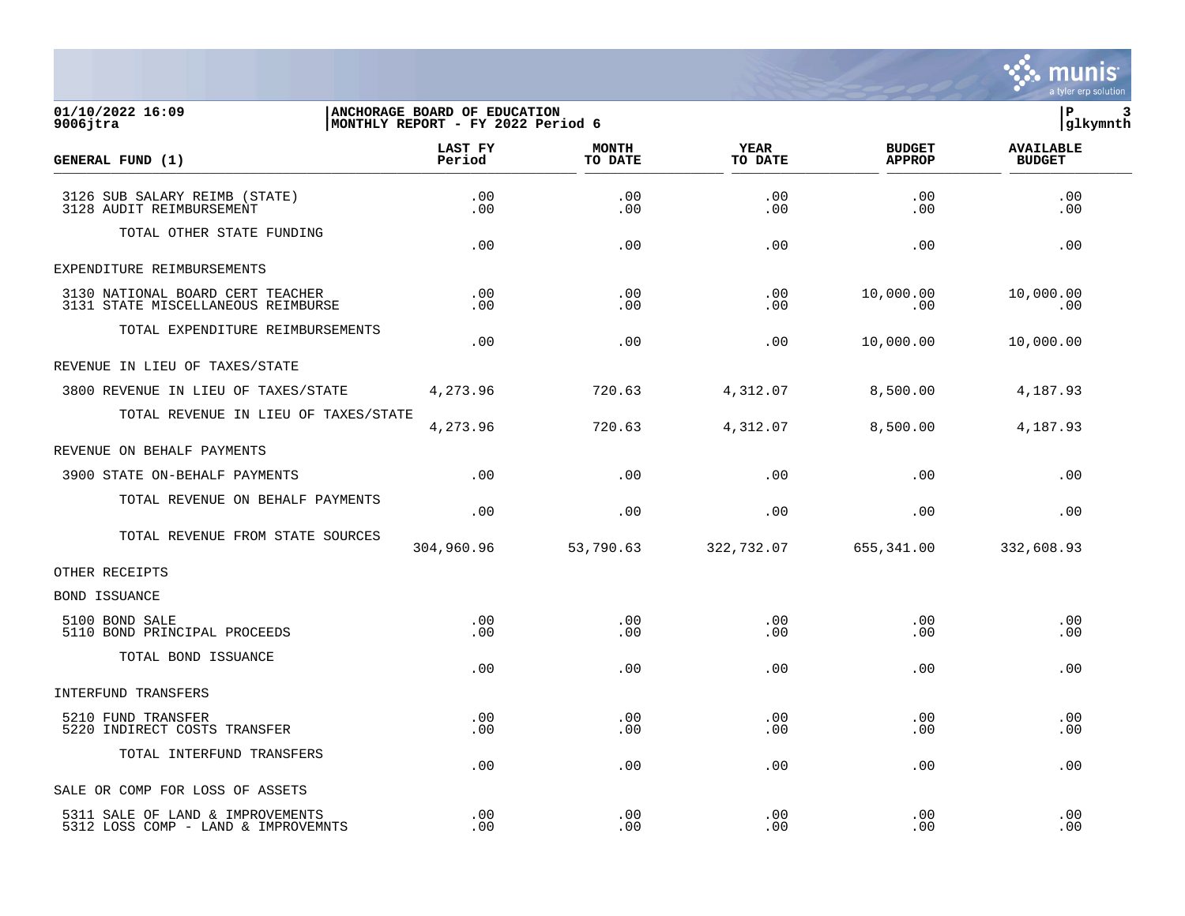

## **01/10/2022 16:09 |ANCHORAGE BOARD OF EDUCATION |P 3 9006jtra |MONTHLY REPORT - FY 2022 Period 6 |glkymnth**

| GENERAL FUND (1)                                                        | LAST FY<br>Period | <b>MONTH</b><br>TO DATE | <b>YEAR</b><br>TO DATE | <b>BUDGET</b><br><b>APPROP</b> | <b>AVAILABLE</b><br><b>BUDGET</b> |  |
|-------------------------------------------------------------------------|-------------------|-------------------------|------------------------|--------------------------------|-----------------------------------|--|
| 3126 SUB SALARY REIMB (STATE)<br>3128 AUDIT REIMBURSEMENT               | .00<br>$.00 \,$   | .00<br>.00              | .00<br>.00             | .00<br>.00                     | .00<br>.00                        |  |
| TOTAL OTHER STATE FUNDING                                               | .00               | .00                     | .00                    | .00                            | .00                               |  |
| EXPENDITURE REIMBURSEMENTS                                              |                   |                         |                        |                                |                                   |  |
| 3130 NATIONAL BOARD CERT TEACHER<br>3131 STATE MISCELLANEOUS REIMBURSE  | .00<br>.00        | .00<br>.00              | .00<br>.00             | 10,000.00<br>.00               | 10,000.00<br>.00                  |  |
| TOTAL EXPENDITURE REIMBURSEMENTS                                        | .00               | .00                     | .00                    | 10,000.00                      | 10,000.00                         |  |
| REVENUE IN LIEU OF TAXES/STATE                                          |                   |                         |                        |                                |                                   |  |
| 3800 REVENUE IN LIEU OF TAXES/STATE                                     | 4,273.96          | 720.63                  | 4,312.07               | 8,500.00                       | 4,187.93                          |  |
| TOTAL REVENUE IN LIEU OF TAXES/STATE                                    | 4,273.96          | 720.63                  | 4,312.07               | 8,500.00                       | 4,187.93                          |  |
| REVENUE ON BEHALF PAYMENTS                                              |                   |                         |                        |                                |                                   |  |
| 3900 STATE ON-BEHALF PAYMENTS                                           | .00               | .00                     | .00                    | .00                            | .00                               |  |
| TOTAL REVENUE ON BEHALF PAYMENTS                                        | .00               | .00                     | .00                    | .00                            | .00                               |  |
| TOTAL REVENUE FROM STATE SOURCES                                        | 304,960.96        | 53,790.63               | 322,732.07             | 655,341.00                     | 332,608.93                        |  |
| OTHER RECEIPTS                                                          |                   |                         |                        |                                |                                   |  |
| BOND ISSUANCE                                                           |                   |                         |                        |                                |                                   |  |
| 5100 BOND SALE<br>5110 BOND PRINCIPAL PROCEEDS                          | .00<br>.00        | .00<br>.00              | .00<br>.00             | .00<br>.00                     | .00<br>.00                        |  |
| TOTAL BOND ISSUANCE                                                     | .00               | .00                     | .00                    | .00                            | .00                               |  |
| INTERFUND TRANSFERS                                                     |                   |                         |                        |                                |                                   |  |
| 5210 FUND TRANSFER<br>5220 INDIRECT COSTS TRANSFER                      | .00<br>.00        | .00<br>.00.             | .00<br>.00             | .00<br>.00                     | .00<br>.00                        |  |
| TOTAL INTERFUND TRANSFERS                                               | .00               | .00                     | .00                    | .00                            | .00                               |  |
| SALE OR COMP FOR LOSS OF ASSETS                                         |                   |                         |                        |                                |                                   |  |
| 5311 SALE OF LAND & IMPROVEMENTS<br>5312 LOSS COMP - LAND & IMPROVEMNTS | .00<br>.00        | .00<br>.00              | .00<br>.00             | .00<br>.00                     | .00<br>.00                        |  |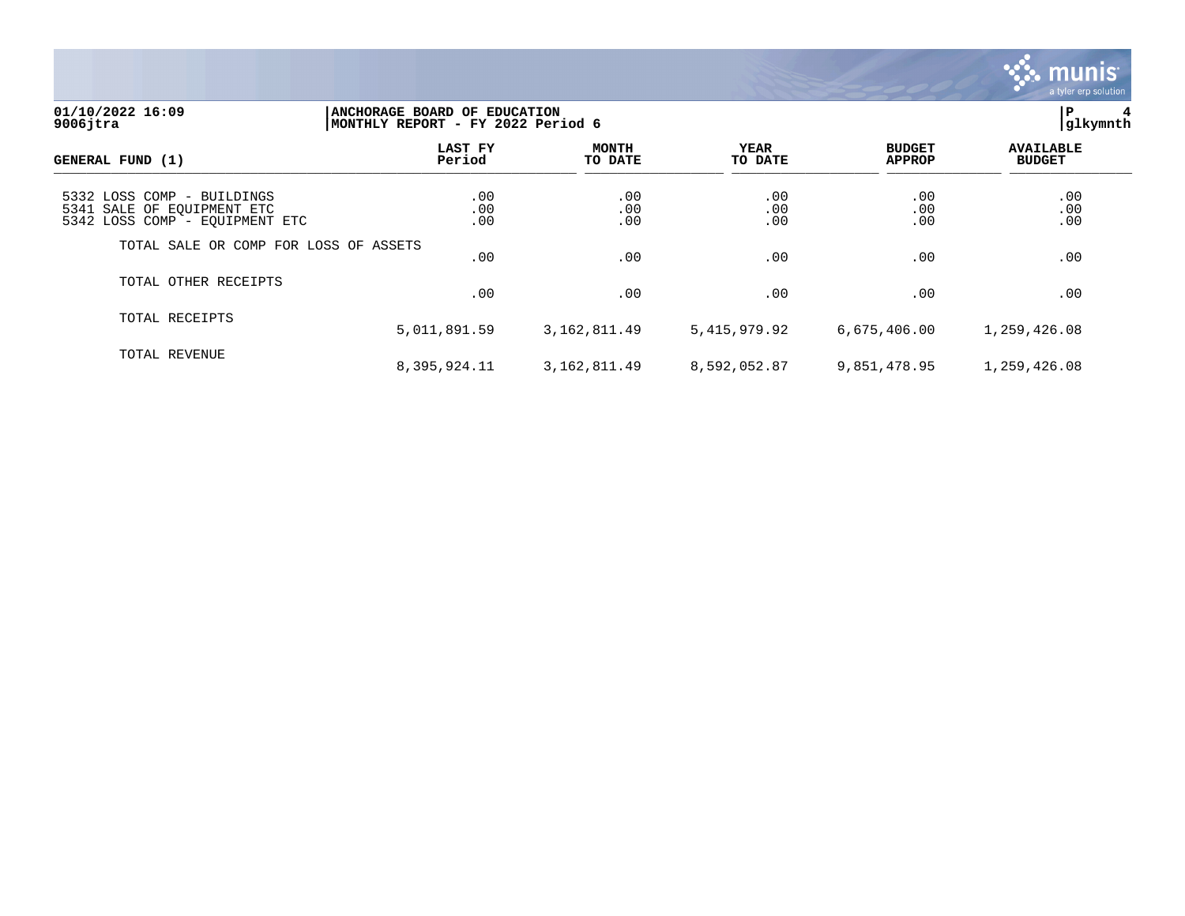

## **01/10/2022 16:09 |ANCHORAGE BOARD OF EDUCATION |P 4 9006jtra |MONTHLY REPORT - FY 2022 Period 6 |glkymnth**

| GENERAL FUND (1)                                                                           | LAST FY<br>Period | <b>MONTH</b><br>TO DATE | YEAR<br>TO DATE   | <b>BUDGET</b><br><b>APPROP</b> | <b>AVAILABLE</b><br><b>BUDGET</b> |  |
|--------------------------------------------------------------------------------------------|-------------------|-------------------------|-------------------|--------------------------------|-----------------------------------|--|
| 5332 LOSS COMP - BUILDINGS<br>5341 SALE OF EQUIPMENT ETC<br>5342 LOSS COMP - EQUIPMENT ETC | .00<br>.00<br>.00 | .00<br>.00<br>.00       | .00<br>.00<br>.00 | .00<br>.00<br>.00              | .00<br>.00<br>.00                 |  |
| TOTAL SALE OR COMP FOR LOSS OF ASSETS                                                      | .00               | .00                     | .00               | .00                            | .00                               |  |
| TOTAL OTHER RECEIPTS                                                                       | .00               | .00                     | .00               | .00                            | .00                               |  |
| TOTAL RECEIPTS                                                                             | 5,011,891.59      | 3, 162, 811.49          | 5,415,979.92      | 6,675,406.00                   | 1,259,426.08                      |  |
| TOTAL REVENUE                                                                              | 8,395,924.11      | 3,162,811.49            | 8,592,052.87      | 9,851,478.95                   | 1,259,426.08                      |  |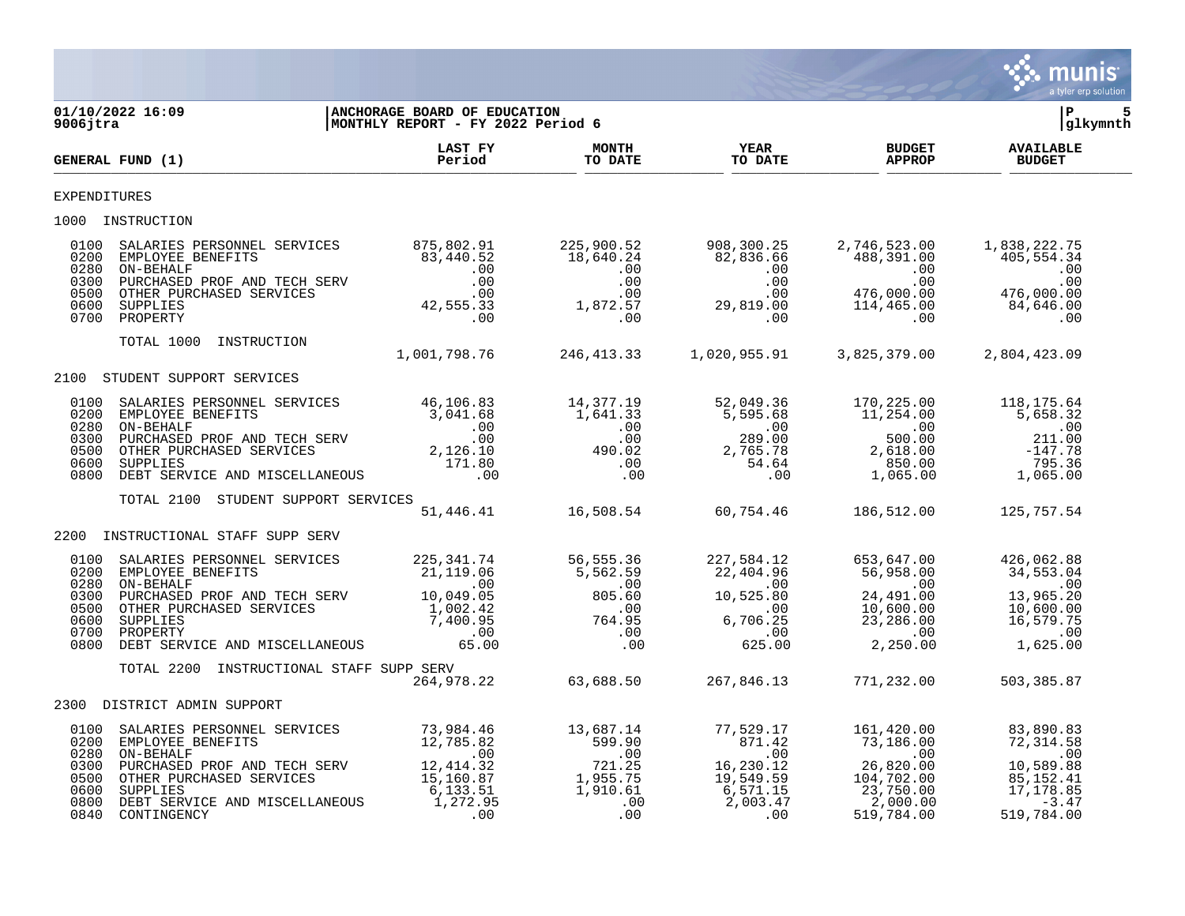

| 9006jtra                                             | 2 16:09   ANCHORAGE BOARD OF EDUCATION<br>  MONTHLY REPORT - FY 2022 Period 6<br>01/10/2022 16:09                                                                                                                                                                                                                                                                         |                                                     |  | 5<br>l P<br> glkymnth |
|------------------------------------------------------|---------------------------------------------------------------------------------------------------------------------------------------------------------------------------------------------------------------------------------------------------------------------------------------------------------------------------------------------------------------------------|-----------------------------------------------------|--|-----------------------|
|                                                      | GENERAL FUND (1)                                                                                                                                                                                                                                                                                                                                                          |                                                     |  |                       |
| <b>EXPENDITURES</b>                                  |                                                                                                                                                                                                                                                                                                                                                                           |                                                     |  |                       |
|                                                      | 1000 INSTRUCTION                                                                                                                                                                                                                                                                                                                                                          |                                                     |  |                       |
| 0100<br>0200<br>0280<br>0300<br>0500<br>0600         | $\begin{tabular}{lcccccc} \texttt{SALARIES} \texttt{ PERSONNEL} \texttt{SERVICES} & & 875,802.91 & 225,900.52 & 908,300.25 & 2,746,523.00 & 1,838,222.75 \\ \texttt{EMPLOYEE} \texttt{EBNEFFITS} & & 83,440.52 & 18,640.24 & 82,836.66 & 488,391.00 & 405,554.34 \\ \texttt{ON-BEHASEP} \texttt{PROF} \texttt{AND} \texttt{TECH} \texttt{SERV} & & 00 &$<br>0700 PROPERTY |                                                     |  |                       |
|                                                      | TOTAL 1000 INSTRUCTION 1,001,798.76 246,413.33 1,020,955.91 3,825,379.00 2,804,423.09                                                                                                                                                                                                                                                                                     |                                                     |  |                       |
|                                                      | 2100 STUDENT SUPPORT SERVICES                                                                                                                                                                                                                                                                                                                                             |                                                     |  |                       |
| 0100<br>0200<br>0280<br>0300<br>0500<br>0600<br>0800 |                                                                                                                                                                                                                                                                                                                                                                           |                                                     |  |                       |
|                                                      | TOTAL 2100 STUDENT SUPPORT SERVICES                                                                                                                                                                                                                                                                                                                                       | 51,446.41 16,508.54 60,754.46 186,512.00 125,757.54 |  |                       |
| 2200                                                 | INSTRUCTIONAL STAFF SUPP SERV                                                                                                                                                                                                                                                                                                                                             |                                                     |  |                       |
|                                                      | $\begin{array}{cccccccc} 0100 & \texttt{SALARIES } \texttt{PERSONNEL} & \texttt{SERVICES} & 225,341.74 & 56,555.36 & 227,584.12 & 653,647.00 & 426,062.88 \\ 0200 & \texttt{EMPLOYEE } \texttt{EENREFITS} & 21,119.06 & 5,562.59 & 22,404.96 & 56,958.00 & 34,553.04 \\ 0300 & \texttt{PUECHASED } \texttt{PROF } \texttt{AND } \texttt{TECH } \text$                     |                                                     |  |                       |
|                                                      | TOTAL 2200 INSTRUCTIONAL STAFF SUPP SERV<br>264,978.22 63,688.50 267,846.13 771,232.00 503,385.87                                                                                                                                                                                                                                                                         |                                                     |  |                       |
|                                                      | 2300 DISTRICT ADMIN SUPPORT                                                                                                                                                                                                                                                                                                                                               |                                                     |  |                       |
| 0100<br>0200<br>0300<br>0500<br>0600<br>0800         | 0280 ON-BEHALF<br>0840 CONTINGENCY                                                                                                                                                                                                                                                                                                                                        |                                                     |  |                       |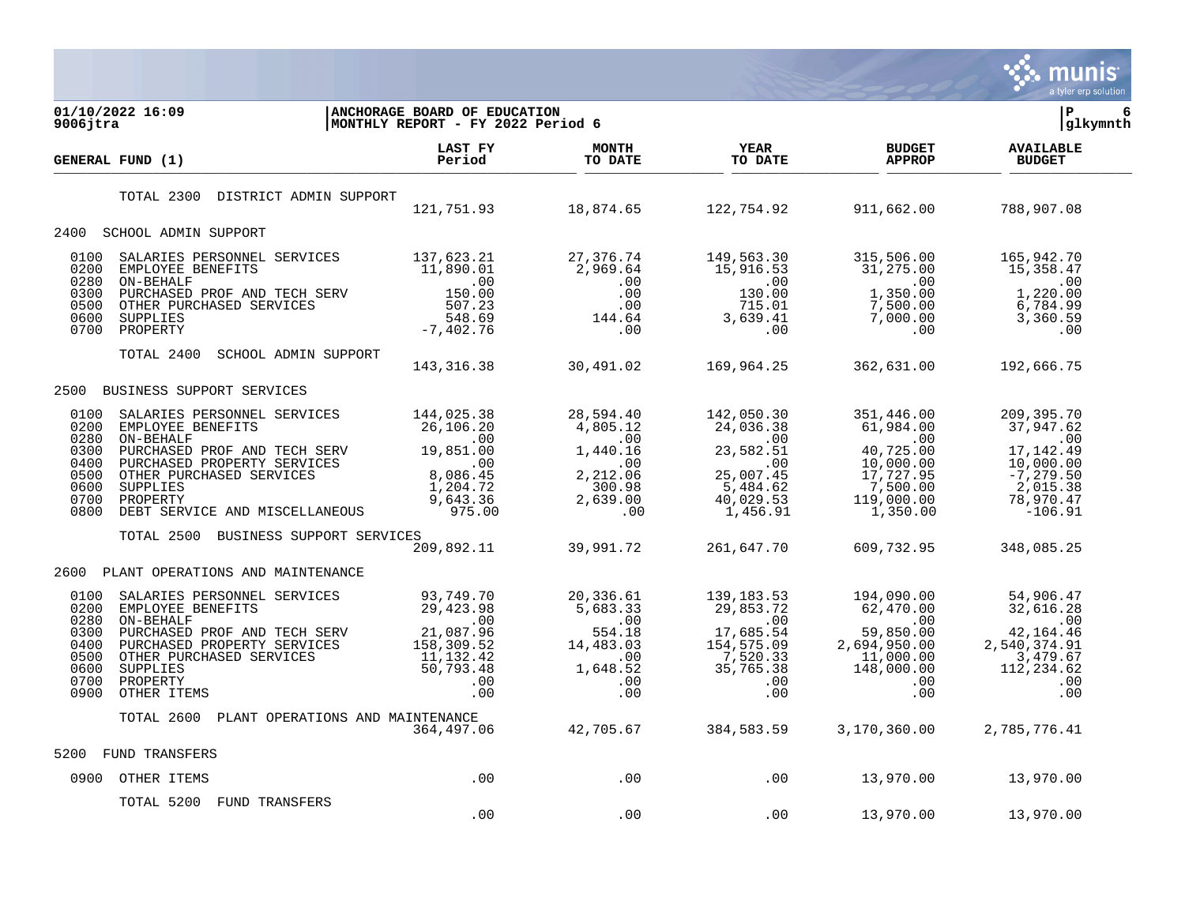

| 01/10/2022 16:09<br>$9006$ jtra                                                                                                                                                                                                                                                                       | <b>ANCHORAGE BOARD OF EDUCATION</b><br>MONTHLY REPORT - FY 2022 Period 6                                                                                                       |                                                                                                                                                                                                                                                                                                                      |                                                                                                  |                                                                                                                            | ΙP<br>6<br> glkymnth                                                                                                  |
|-------------------------------------------------------------------------------------------------------------------------------------------------------------------------------------------------------------------------------------------------------------------------------------------------------|--------------------------------------------------------------------------------------------------------------------------------------------------------------------------------|----------------------------------------------------------------------------------------------------------------------------------------------------------------------------------------------------------------------------------------------------------------------------------------------------------------------|--------------------------------------------------------------------------------------------------|----------------------------------------------------------------------------------------------------------------------------|-----------------------------------------------------------------------------------------------------------------------|
| GENERAL FUND (1)                                                                                                                                                                                                                                                                                      | LAST FY<br>Period                                                                                                                                                              | <b>MONTH</b><br>TO DATE                                                                                                                                                                                                                                                                                              | <b>YEAR</b><br>TO DATE                                                                           | <b>BUDGET</b><br><b>APPROP</b>                                                                                             | <b>AVAILABLE</b><br><b>BUDGET</b>                                                                                     |
| DISTRICT ADMIN SUPPORT<br>TOTAL 2300                                                                                                                                                                                                                                                                  |                                                                                                                                                                                | $121,751.93$ $18,874.65$ $122,754.92$                                                                                                                                                                                                                                                                                |                                                                                                  | 911,662.00                                                                                                                 | 788,907.08                                                                                                            |
| 2400 SCHOOL ADMIN SUPPORT                                                                                                                                                                                                                                                                             |                                                                                                                                                                                |                                                                                                                                                                                                                                                                                                                      |                                                                                                  |                                                                                                                            |                                                                                                                       |
| 0100<br>SALARIES PERSONNEL SERVICES<br>EMPLOYEE BENEFITS<br>ON-BEHALF<br>PURCHASED PROF AND TECH SERV<br>OTHER PURCHASED SERVICES<br>SUPPLIES<br>SUPPLIES<br>POOPERTY<br>7,402.76<br>OTHER PURCHASED SERVICES<br>507.23<br>SUPPLIES<br>7,402.76<br>0200<br>0280<br>0300<br>0500<br>0600<br>0700       |                                                                                                                                                                                | 27, 376.74<br>2,969.64<br>$2,909.07$<br>.00<br>.00<br>.00<br>144.64<br>.00                                                                                                                                                                                                                                           | 149,563.30<br>15,916.53<br>.00<br>130.00<br>715.01<br>$3, 639.41$<br>.00                         | 315,506.00<br>31,275.00<br>$\sim$ 00<br>1,350.00<br>$7,500.00$<br>$7,000.00$<br>.00                                        | 165,942.70<br>15,358.47<br>$\sim 00$<br>1,220.00<br>6,784.99<br>3,360.59<br>.00                                       |
| TOTAL 2400<br>SCHOOL ADMIN SUPPORT                                                                                                                                                                                                                                                                    | 143, 316.38 30, 491.02                                                                                                                                                         |                                                                                                                                                                                                                                                                                                                      | 169,964.25                                                                                       | 362,631.00                                                                                                                 | 192,666.75                                                                                                            |
| BUSINESS SUPPORT SERVICES<br>2500                                                                                                                                                                                                                                                                     |                                                                                                                                                                                |                                                                                                                                                                                                                                                                                                                      |                                                                                                  |                                                                                                                            |                                                                                                                       |
| 0100<br>SALARIES PERSONNEL SERVICES<br>0200<br>---, UZD.38<br>PURCHASED PROF AND TECH SERV 19,851.00<br>PURCHASED PROF AND TECH SERV 19,851.00<br>OTHER PURCHASED PROPERTY SERVICES<br>0280<br>0300<br>0400<br>0500<br>0600<br>SUPPLIES<br>0700<br>PROPERTY<br>0800<br>DEBT SERVICE AND MISCELLANEOUS |                                                                                                                                                                                | $\begin{array}{cccc} & & & & & 169,964.\\ \text{} & & & & & 28,594.40 & & 142,050.30\\ \text{} & & & & 4,805.12 & & 24,036.38\\ \text{} & & & & & 4,805.12 & & 24,036.38\\ \text{} & & & & & & 00 & & 00\\ 19,851.00 & & & 1,440.16 & & 23,582.51\\ \text{} & & & & & & 00 & & 00\\ 8,086.45 & & & & 2,212.06 & & 2$ | $5,484.62$<br>$40,029.53$<br>$1,456.91$                                                          | 351,446.00<br>61,984.00<br>.00<br>40,725.00<br>10,000.00<br>17,727.95<br>$17,727.95$<br>7,500.00<br>119,000.00<br>1,350.00 | 209,395.70<br>37,947.62<br>$\sim 00$<br>17, 142.49<br>10,000.00<br>$-7, 279.50$<br>2,015.38<br>78,970.47<br>$-106.91$ |
| TOTAL 2500 BUSINESS SUPPORT SERVICES                                                                                                                                                                                                                                                                  | 209,892.11                                                                                                                                                                     | 39,991.72                                                                                                                                                                                                                                                                                                            | 261,647.70                                                                                       | 609,732.95                                                                                                                 | 348,085.25                                                                                                            |
| 2600 PLANT OPERATIONS AND MAINTENANCE                                                                                                                                                                                                                                                                 |                                                                                                                                                                                |                                                                                                                                                                                                                                                                                                                      |                                                                                                  |                                                                                                                            |                                                                                                                       |
| 0100<br>SALARIES PERSONNEL SERVICES<br>0200<br>EMPLOYEE BENEFITS<br>0280<br>ON-BEHALF<br>0300<br>PURCHASED PROF AND TECH SERV<br>PURCHASED PROPERTY SERVICES<br>0400<br>0500<br>OTHER PURCHASED SERVICES<br>0600<br><b>SUPPLIES</b><br>0700<br>PROPERTY<br>0900<br>OTHER ITEMS                        | 93,749.70<br>29,423.98<br>$\begin{array}{c} 1 \\ 76 \\ -52 \\ 4.42 \\ 73.48 \\ -00 \\ -00 \end{array}$<br>$\overline{00}$<br>21,087.96<br>158,309.52<br>11,132.42<br>50,793.48 | 20,336.61<br>5,683.33<br>554.00<br>554.18<br>14,483.03<br>.00<br>$1,648.52$<br>.00<br>.00<br>.00                                                                                                                                                                                                                     | 139,183.53<br>29,853.72<br>.00<br>17,685.54<br>154,575.09<br>7,520.33<br>35,765.38<br>.00<br>.00 | $\begin{array}{l} 194,090.00 \\ 62,470.00 \\ -2.850.00 \\ \end{array}$<br>11,000.00<br>148,000.00<br>$.00 \,$<br>.00       | 54,906.47<br>32,616.28<br>$\sim 00$<br>42, 164. 46<br>2,540,374.91<br>3,479.67<br>112,234.62<br>.00<br>.00            |
| TOTAL 2600                                                                                                                                                                                                                                                                                            | PLANT OPERATIONS AND MAINTENANCE<br>364,497.06                                                                                                                                 | 42,705.67                                                                                                                                                                                                                                                                                                            | 384,583.59                                                                                       | 3,170,360.00                                                                                                               | 2,785,776.41                                                                                                          |
| 5200<br>FUND TRANSFERS                                                                                                                                                                                                                                                                                |                                                                                                                                                                                |                                                                                                                                                                                                                                                                                                                      |                                                                                                  |                                                                                                                            |                                                                                                                       |
| 0900 OTHER ITEMS                                                                                                                                                                                                                                                                                      | .00                                                                                                                                                                            | $\sim$ 00                                                                                                                                                                                                                                                                                                            | $\sim$ 00                                                                                        | 13,970.00                                                                                                                  | 13,970.00                                                                                                             |
| TOTAL 5200 FUND TRANSFERS                                                                                                                                                                                                                                                                             | .00                                                                                                                                                                            | .00                                                                                                                                                                                                                                                                                                                  | .00                                                                                              | 13,970.00                                                                                                                  | 13,970.00                                                                                                             |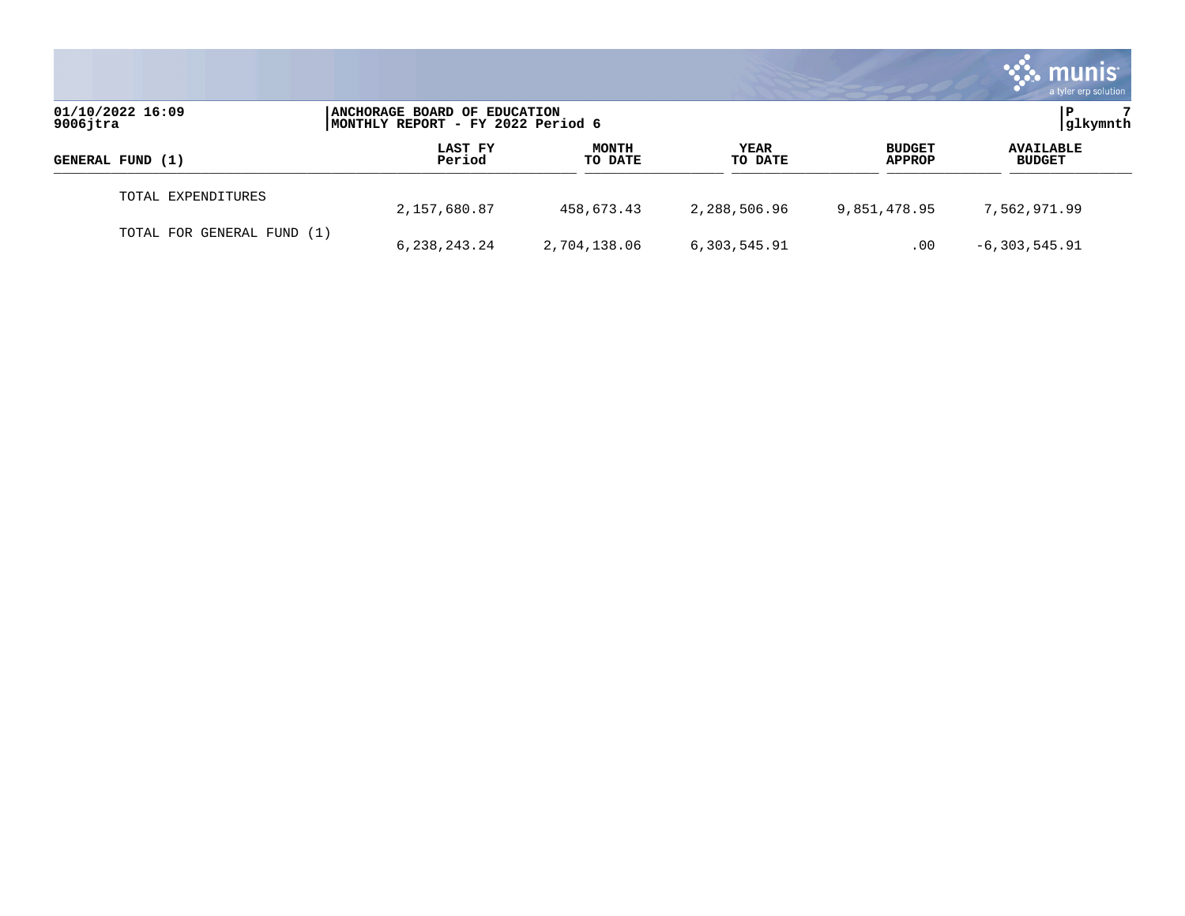|                                 |                                                                   |                         |                 |                                | munis<br>a tyler erp solution     |
|---------------------------------|-------------------------------------------------------------------|-------------------------|-----------------|--------------------------------|-----------------------------------|
| 01/10/2022 16:09<br>$9006$ jtra | ANCHORAGE BOARD OF EDUCATION<br>MONTHLY REPORT - FY 2022 Period 6 |                         |                 |                                | glkymnth                          |
| GENERAL FUND (1)                | LAST FY<br>Period                                                 | <b>MONTH</b><br>TO DATE | YEAR<br>TO DATE | <b>BUDGET</b><br><b>APPROP</b> | <b>AVAILABLE</b><br><b>BUDGET</b> |
| TOTAL EXPENDITURES              | 2,157,680.87                                                      | 458,673.43              | 2,288,506.96    | 9,851,478.95                   | 7,562,971.99                      |
| TOTAL FOR GENERAL FUND (1)      | 6,238,243.24                                                      | 2,704,138.06            | 6,303,545.91    | .00                            | $-6,303,545.91$                   |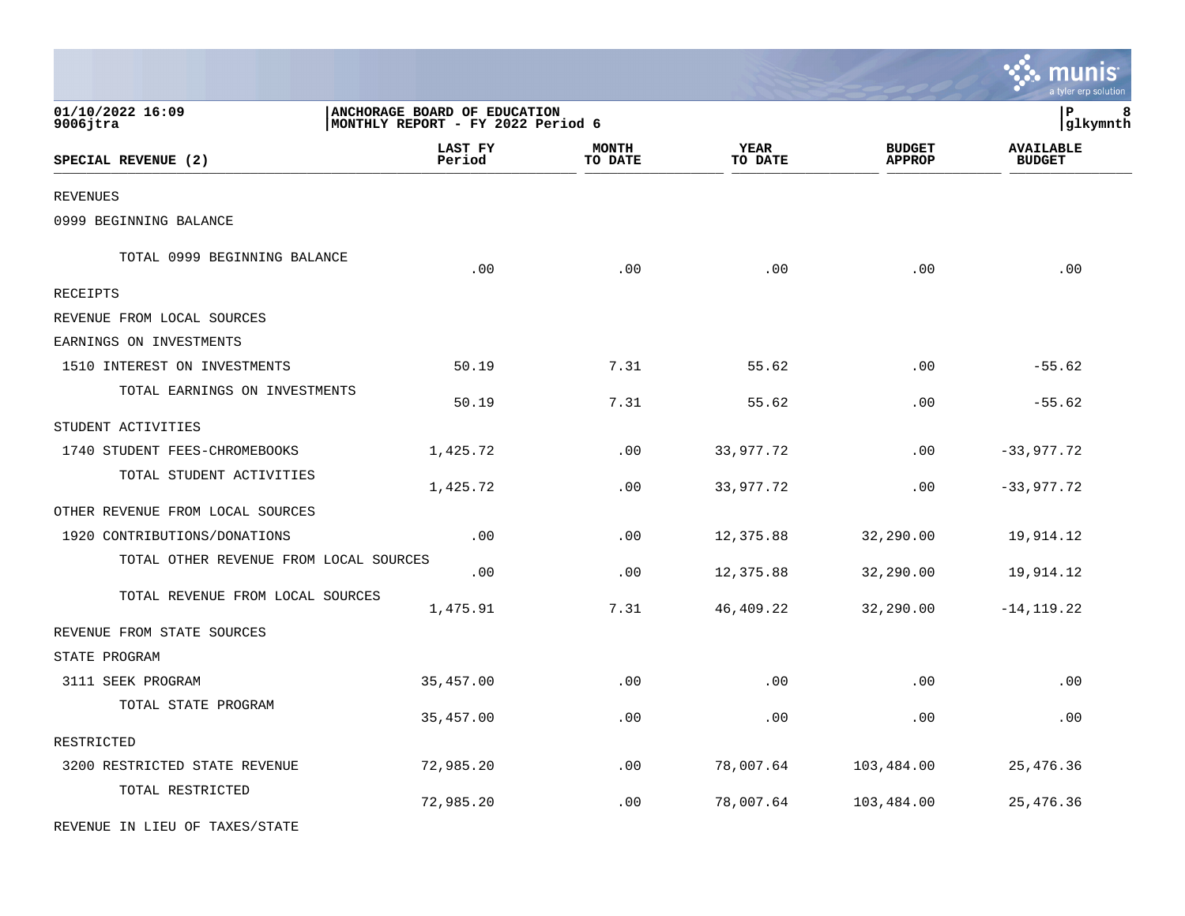|                                        |                                                                   |                         |                        |                                | munis <sup>.</sup><br>a tyler erp solution |
|----------------------------------------|-------------------------------------------------------------------|-------------------------|------------------------|--------------------------------|--------------------------------------------|
| 01/10/2022 16:09<br>$9006$ jtra        | ANCHORAGE BOARD OF EDUCATION<br>MONTHLY REPORT - FY 2022 Period 6 |                         |                        |                                | P<br>8<br> glkymnth                        |
| SPECIAL REVENUE (2)                    | LAST FY<br>Period                                                 | <b>MONTH</b><br>TO DATE | <b>YEAR</b><br>TO DATE | <b>BUDGET</b><br><b>APPROP</b> | <b>AVAILABLE</b><br><b>BUDGET</b>          |
| <b>REVENUES</b>                        |                                                                   |                         |                        |                                |                                            |
| 0999 BEGINNING BALANCE                 |                                                                   |                         |                        |                                |                                            |
| TOTAL 0999 BEGINNING BALANCE           | .00                                                               | .00                     | .00                    | .00                            | .00                                        |
| RECEIPTS                               |                                                                   |                         |                        |                                |                                            |
| REVENUE FROM LOCAL SOURCES             |                                                                   |                         |                        |                                |                                            |
| EARNINGS ON INVESTMENTS                |                                                                   |                         |                        |                                |                                            |
| 1510 INTEREST ON INVESTMENTS           | 50.19                                                             | 7.31                    | 55.62                  | .00                            | $-55.62$                                   |
| TOTAL EARNINGS ON INVESTMENTS          | 50.19                                                             | 7.31                    | 55.62                  | .00                            | $-55.62$                                   |
| STUDENT ACTIVITIES                     |                                                                   |                         |                        |                                |                                            |
| 1740 STUDENT FEES-CHROMEBOOKS          | 1,425.72                                                          | .00                     | 33,977.72              | .00                            | $-33,977.72$                               |
| TOTAL STUDENT ACTIVITIES               | 1,425.72                                                          | .00                     | 33,977.72              | .00                            | $-33,977.72$                               |
| OTHER REVENUE FROM LOCAL SOURCES       |                                                                   |                         |                        |                                |                                            |
| 1920 CONTRIBUTIONS/DONATIONS           | .00                                                               | .00                     | 12,375.88              | 32,290.00                      | 19,914.12                                  |
| TOTAL OTHER REVENUE FROM LOCAL SOURCES | .00                                                               | .00                     | 12,375.88              | 32,290.00                      | 19,914.12                                  |
| TOTAL REVENUE FROM LOCAL SOURCES       | 1,475.91                                                          | 7.31                    | 46,409.22              | 32,290.00                      | $-14, 119.22$                              |
| REVENUE FROM STATE SOURCES             |                                                                   |                         |                        |                                |                                            |
| STATE PROGRAM                          |                                                                   |                         |                        |                                |                                            |
| 3111 SEEK PROGRAM                      | 35, 457.00                                                        | .00                     | .00                    | .00                            | .00                                        |
| TOTAL STATE PROGRAM                    | 35,457.00                                                         | .00                     | .00                    | .00                            | .00                                        |
| RESTRICTED                             |                                                                   |                         |                        |                                |                                            |
| 3200 RESTRICTED STATE REVENUE          | 72,985.20                                                         | .00                     | 78,007.64              | 103,484.00                     | 25, 476.36                                 |
| TOTAL RESTRICTED                       | 72,985.20                                                         | .00                     | 78,007.64              | 103,484.00                     | 25, 476.36                                 |
| REVENUE IN LIEU OF TAXES/STATE         |                                                                   |                         |                        |                                |                                            |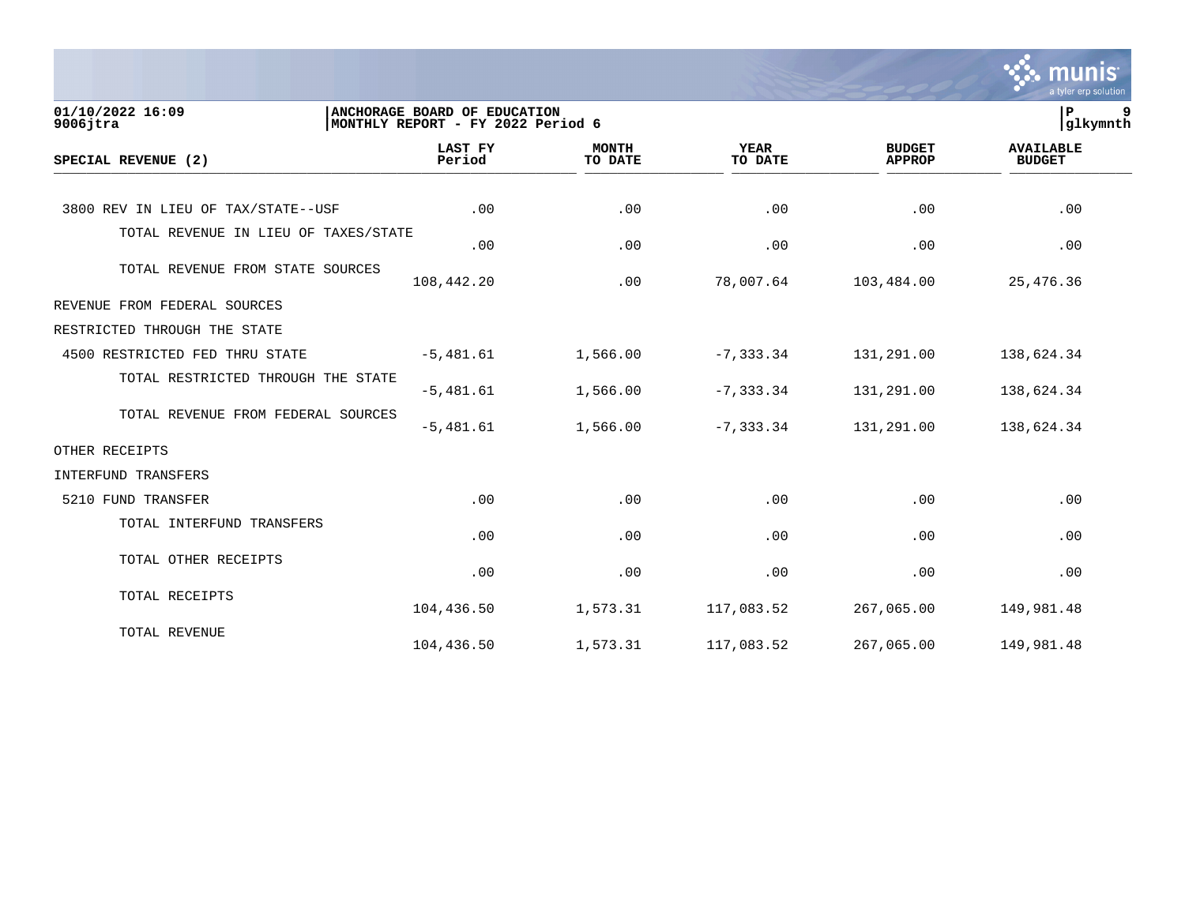|                                      |                                                                   |                         |                        |                                | munis<br>a tyler erp solution     |
|--------------------------------------|-------------------------------------------------------------------|-------------------------|------------------------|--------------------------------|-----------------------------------|
| 01/10/2022 16:09<br>$9006$ jtra      | ANCHORAGE BOARD OF EDUCATION<br>MONTHLY REPORT - FY 2022 Period 6 |                         |                        |                                | 9<br>ΙP<br> glkymnth              |
| SPECIAL REVENUE (2)                  | <b>LAST FY</b><br>Period                                          | <b>MONTH</b><br>TO DATE | <b>YEAR</b><br>TO DATE | <b>BUDGET</b><br><b>APPROP</b> | <b>AVAILABLE</b><br><b>BUDGET</b> |
| 3800 REV IN LIEU OF TAX/STATE--USF   | .00                                                               | .00                     | .00                    | .00                            | .00                               |
| TOTAL REVENUE IN LIEU OF TAXES/STATE | .00                                                               | .00                     | .00                    | .00                            | .00                               |
| TOTAL REVENUE FROM STATE SOURCES     | 108,442.20                                                        | .00                     | 78,007.64              | 103,484.00                     | 25,476.36                         |
| REVENUE FROM FEDERAL SOURCES         |                                                                   |                         |                        |                                |                                   |
| RESTRICTED THROUGH THE STATE         |                                                                   |                         |                        |                                |                                   |
| 4500 RESTRICTED FED THRU STATE       | $-5,481.61$                                                       | 1,566.00                | $-7, 333.34$           | 131,291.00                     | 138,624.34                        |
| TOTAL RESTRICTED THROUGH THE STATE   | $-5,481.61$                                                       | 1,566.00                | $-7, 333.34$           | 131,291.00                     | 138,624.34                        |
| TOTAL REVENUE FROM FEDERAL SOURCES   | $-5,481.61$                                                       | 1,566.00                | $-7, 333.34$           | 131,291.00                     | 138,624.34                        |
| OTHER RECEIPTS                       |                                                                   |                         |                        |                                |                                   |
| INTERFUND TRANSFERS                  |                                                                   |                         |                        |                                |                                   |
| 5210 FUND TRANSFER                   | .00                                                               | .00                     | .00                    | .00                            | .00                               |
| TOTAL INTERFUND TRANSFERS            | .00                                                               | .00                     | .00                    | .00                            | .00                               |
| TOTAL OTHER RECEIPTS                 | .00                                                               | .00                     | .00                    | .00                            | .00                               |
| TOTAL RECEIPTS                       | 104,436.50                                                        | 1,573.31                | 117,083.52             | 267,065.00                     | 149,981.48                        |
| TOTAL REVENUE                        | 104,436.50                                                        | 1,573.31                | 117,083.52             | 267,065.00                     | 149,981.48                        |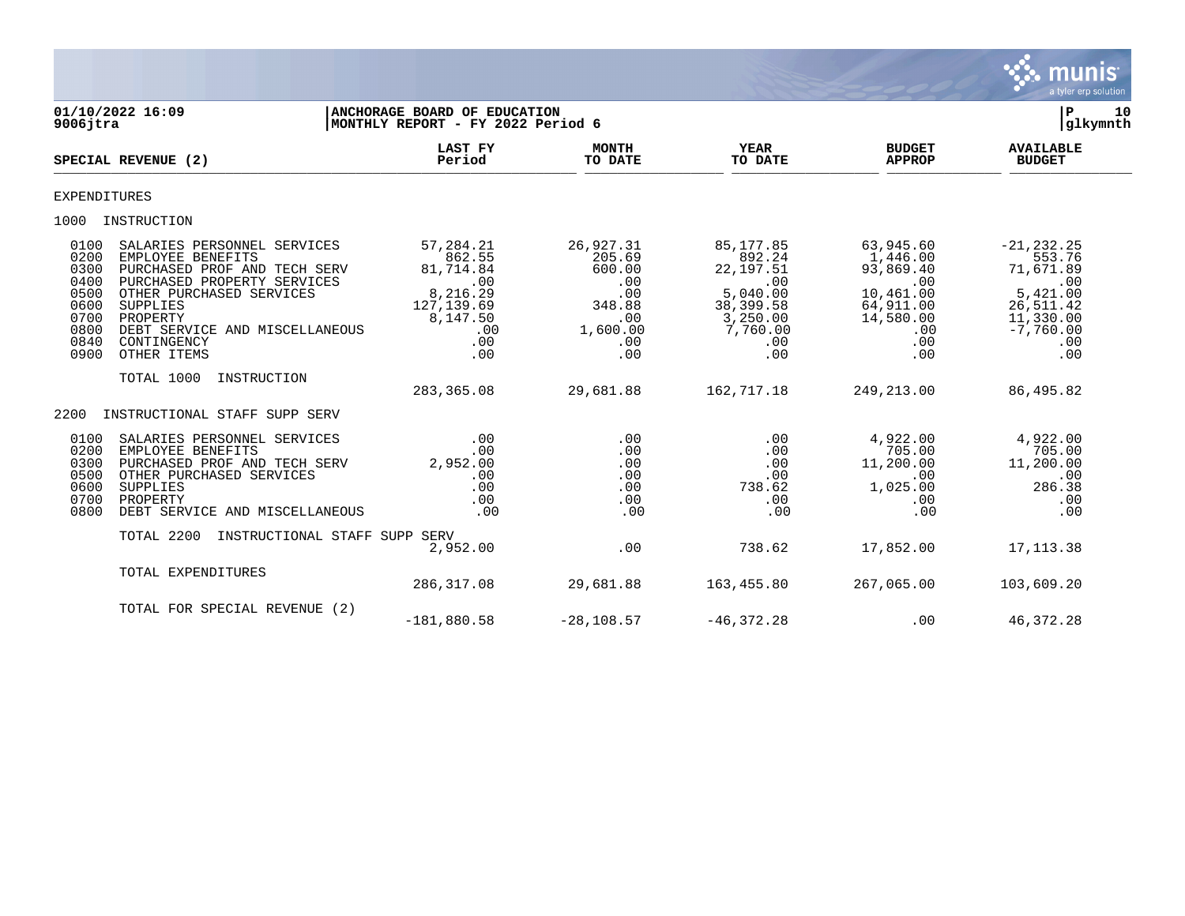

| $9006$ jtra                                                                  | 01/10/2022 16:09                                                                                                                                                                                                                    | ANCHORAGE BOARD OF EDUCATION<br>MONTHLY REPORT - FY 2022 Period 6                                   |                                                                                        |                                                                                                         |                                                                                                       | ${\bf P}$<br>10<br>glkymnth                                                                                    |  |
|------------------------------------------------------------------------------|-------------------------------------------------------------------------------------------------------------------------------------------------------------------------------------------------------------------------------------|-----------------------------------------------------------------------------------------------------|----------------------------------------------------------------------------------------|---------------------------------------------------------------------------------------------------------|-------------------------------------------------------------------------------------------------------|----------------------------------------------------------------------------------------------------------------|--|
|                                                                              | SPECIAL REVENUE (2)                                                                                                                                                                                                                 | <b>LAST FY</b><br>Period                                                                            | <b>MONTH</b><br>TO DATE                                                                | <b>YEAR</b><br>TO DATE                                                                                  | <b>BUDGET</b><br><b>APPROP</b>                                                                        | <b>AVAILABLE</b><br><b>BUDGET</b>                                                                              |  |
| <b>EXPENDITURES</b>                                                          |                                                                                                                                                                                                                                     |                                                                                                     |                                                                                        |                                                                                                         |                                                                                                       |                                                                                                                |  |
| 1000                                                                         | INSTRUCTION                                                                                                                                                                                                                         |                                                                                                     |                                                                                        |                                                                                                         |                                                                                                       |                                                                                                                |  |
| 0100<br>0200<br>0300<br>0400<br>0500<br>0600<br>0700<br>0800<br>0840<br>0900 | SALARIES PERSONNEL SERVICES<br>EMPLOYEE BENEFITS<br>PURCHASED PROF AND TECH SERV<br>PURCHASED PROPERTY SERVICES<br>OTHER PURCHASED SERVICES<br>SUPPLIES<br>PROPERTY<br>DEBT SERVICE AND MISCELLANEOUS<br>CONTINGENCY<br>OTHER ITEMS | 57,284.21<br>862.55<br>81,714.84<br>.00<br>8,216.29<br>127, 139.69<br>8,147.50<br>.00<br>.00<br>.00 | 26,927.31<br>205.69<br>600.00<br>.00<br>.00<br>348.88<br>.00<br>1,600.00<br>.00<br>.00 | 85,177.85<br>892.24<br>22, 197.51<br>.00<br>5,040.00<br>38,399.58<br>3,250.00<br>7,760.00<br>.00<br>.00 | 63,945.60<br>1,446.00<br>93,869.40<br>.00<br>10,461.00<br>64,911.00<br>14,580.00<br>.00<br>.00<br>.00 | $-21, 232.25$<br>553.76<br>71,671.89<br>.00<br>5,421.00<br>26,511.42<br>11,330.00<br>$-7,760.00$<br>.00<br>.00 |  |
|                                                                              | TOTAL 1000<br>INSTRUCTION                                                                                                                                                                                                           | 283, 365.08                                                                                         | 29,681.88                                                                              | 162,717.18                                                                                              | 249,213.00                                                                                            | 86,495.82                                                                                                      |  |
| 2200                                                                         | INSTRUCTIONAL STAFF SUPP SERV                                                                                                                                                                                                       |                                                                                                     |                                                                                        |                                                                                                         |                                                                                                       |                                                                                                                |  |
| 0100<br>0200<br>0300<br>0500<br>0600<br>0700<br>0800                         | SALARIES PERSONNEL SERVICES<br>EMPLOYEE BENEFITS<br>PURCHASED PROF AND TECH SERV<br>OTHER PURCHASED SERVICES<br>SUPPLIES<br>PROPERTY<br>DEBT SERVICE AND MISCELLANEOUS                                                              | .00<br>.00<br>2,952.00<br>.00<br>.00<br>.00<br>.00                                                  | .00<br>.00<br>.00<br>.00<br>.00<br>.00<br>.00                                          | .00<br>.00<br>.00<br>.00<br>738.62<br>.00<br>.00                                                        | 4,922.00<br>705.00<br>11,200.00<br>$.00 \,$<br>1,025.00<br>.00<br>.00                                 | 4,922.00<br>705.00<br>11,200.00<br>.00<br>286.38<br>.00<br>.00                                                 |  |
|                                                                              | TOTAL 2200<br>INSTRUCTIONAL STAFF SUPP SERV                                                                                                                                                                                         | 2,952.00                                                                                            | .00                                                                                    | 738.62                                                                                                  | 17,852.00                                                                                             | 17, 113.38                                                                                                     |  |
|                                                                              | TOTAL EXPENDITURES                                                                                                                                                                                                                  | 286, 317.08                                                                                         | 29,681.88                                                                              | 163,455.80                                                                                              | 267,065.00                                                                                            | 103,609.20                                                                                                     |  |
|                                                                              | TOTAL FOR SPECIAL REVENUE (2)                                                                                                                                                                                                       | $-181,880.58$                                                                                       | $-28, 108.57$                                                                          | $-46, 372.28$                                                                                           | .00                                                                                                   | 46,372.28                                                                                                      |  |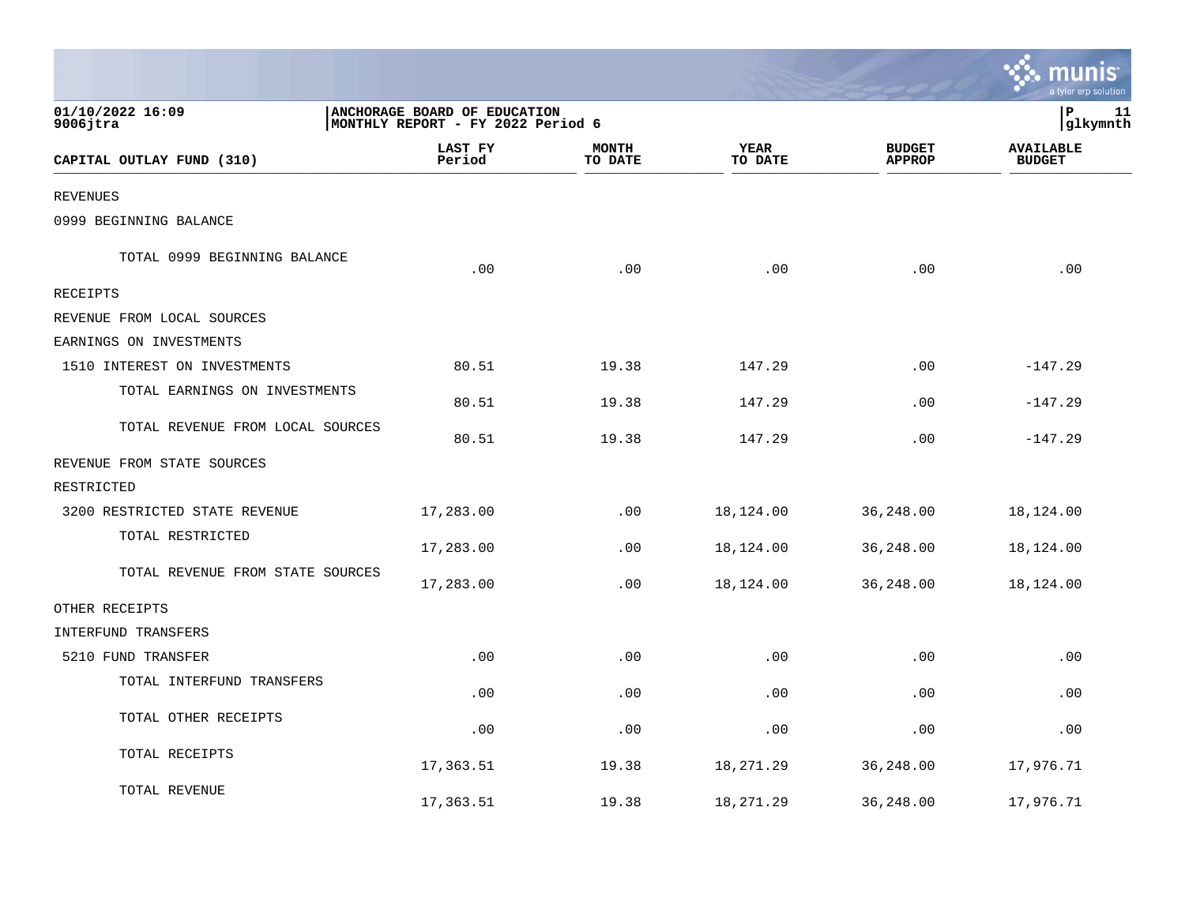|                                  |                                                                   |                         |                 |                                | a tyler erp solution              |
|----------------------------------|-------------------------------------------------------------------|-------------------------|-----------------|--------------------------------|-----------------------------------|
| 01/10/2022 16:09<br>$9006$ jtra  | ANCHORAGE BOARD OF EDUCATION<br>MONTHLY REPORT - FY 2022 Period 6 |                         |                 |                                | l P<br>11<br>glkymnth             |
| CAPITAL OUTLAY FUND (310)        | LAST FY<br>Period                                                 | <b>MONTH</b><br>TO DATE | YEAR<br>TO DATE | <b>BUDGET</b><br><b>APPROP</b> | <b>AVAILABLE</b><br><b>BUDGET</b> |
| <b>REVENUES</b>                  |                                                                   |                         |                 |                                |                                   |
| 0999 BEGINNING BALANCE           |                                                                   |                         |                 |                                |                                   |
| TOTAL 0999 BEGINNING BALANCE     | .00                                                               | .00                     | .00             | .00                            | .00                               |
| <b>RECEIPTS</b>                  |                                                                   |                         |                 |                                |                                   |
| REVENUE FROM LOCAL SOURCES       |                                                                   |                         |                 |                                |                                   |
| EARNINGS ON INVESTMENTS          |                                                                   |                         |                 |                                |                                   |
| 1510 INTEREST ON INVESTMENTS     | 80.51                                                             | 19.38                   | 147.29          | .00                            | $-147.29$                         |
| TOTAL EARNINGS ON INVESTMENTS    | 80.51                                                             | 19.38                   | 147.29          | .00                            | $-147.29$                         |
| TOTAL REVENUE FROM LOCAL SOURCES | 80.51                                                             | 19.38                   | 147.29          | .00                            | $-147.29$                         |
| REVENUE FROM STATE SOURCES       |                                                                   |                         |                 |                                |                                   |
| RESTRICTED                       |                                                                   |                         |                 |                                |                                   |
| 3200 RESTRICTED STATE REVENUE    | 17,283.00                                                         | .00                     | 18,124.00       | 36,248.00                      | 18,124.00                         |
| TOTAL RESTRICTED                 | 17,283.00                                                         | .00                     | 18,124.00       | 36,248.00                      | 18,124.00                         |
| TOTAL REVENUE FROM STATE SOURCES | 17,283.00                                                         | .00                     | 18,124.00       | 36,248.00                      | 18,124.00                         |
| OTHER RECEIPTS                   |                                                                   |                         |                 |                                |                                   |
| INTERFUND TRANSFERS              |                                                                   |                         |                 |                                |                                   |
| 5210 FUND TRANSFER               | .00                                                               | .00                     | .00             | .00                            | .00                               |
| TOTAL INTERFUND TRANSFERS        | .00                                                               | .00                     | .00             | .00                            | .00                               |
| TOTAL OTHER RECEIPTS             | .00                                                               | .00                     | .00             | .00                            | .00                               |
| TOTAL RECEIPTS                   | 17,363.51                                                         | 19.38                   | 18,271.29       | 36,248.00                      | 17,976.71                         |
| TOTAL REVENUE                    | 17,363.51                                                         | 19.38                   | 18,271.29       | 36,248.00                      | 17,976.71                         |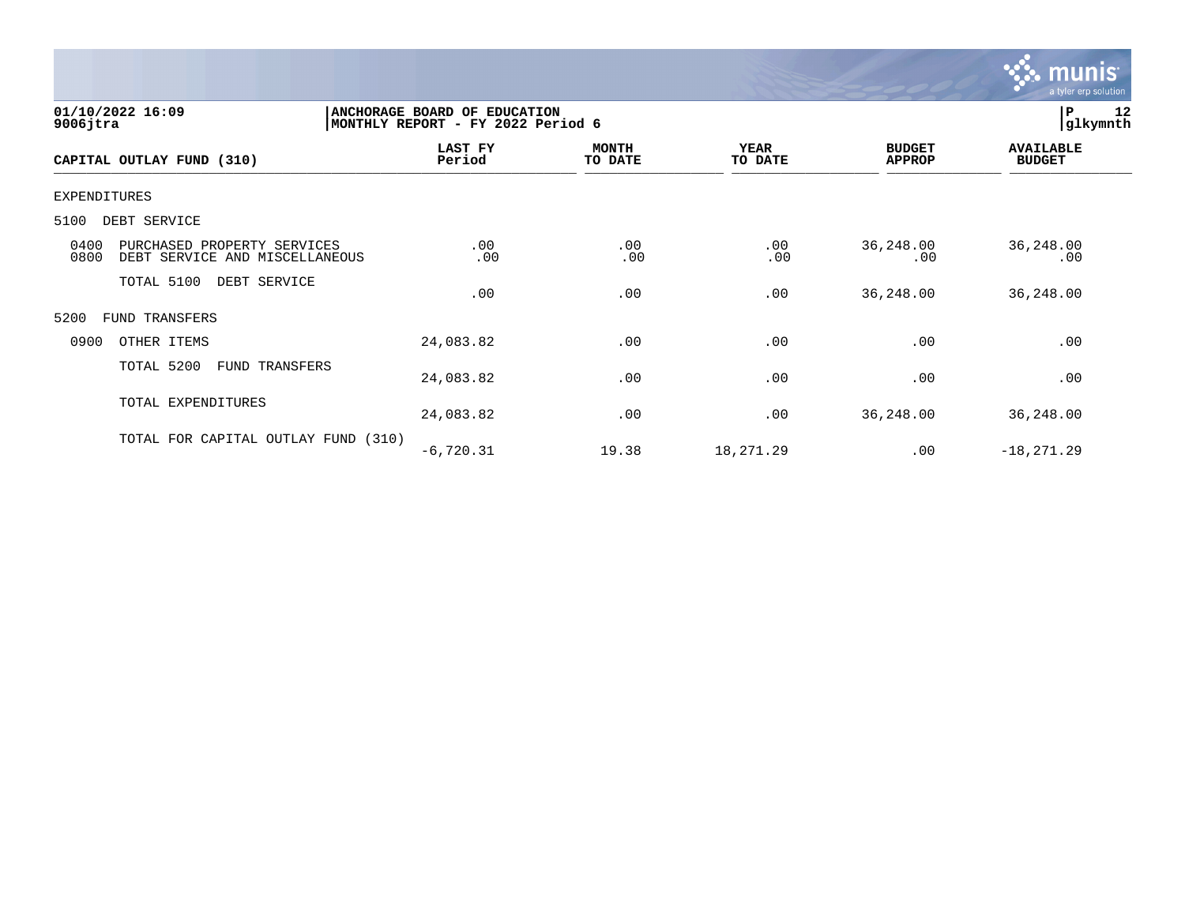

| 01/10/2022 16:09<br>$9006$ jtra                                               | ANCHORAGE BOARD OF EDUCATION<br>MONTHLY REPORT - FY 2022 Period 6 |                  |                        |                                | 12<br> P<br> glkymnth             |
|-------------------------------------------------------------------------------|-------------------------------------------------------------------|------------------|------------------------|--------------------------------|-----------------------------------|
| CAPITAL OUTLAY FUND (310)                                                     | LAST FY<br>Period                                                 | MONTH<br>TO DATE | <b>YEAR</b><br>TO DATE | <b>BUDGET</b><br><b>APPROP</b> | <b>AVAILABLE</b><br><b>BUDGET</b> |
| <b>EXPENDITURES</b>                                                           |                                                                   |                  |                        |                                |                                   |
| 5100<br>DEBT SERVICE                                                          |                                                                   |                  |                        |                                |                                   |
| 0400<br>PURCHASED PROPERTY SERVICES<br>0800<br>DEBT SERVICE AND MISCELLANEOUS | .00<br>.00                                                        | .00<br>.00       | .00<br>.00             | 36,248.00<br>.00               | 36,248.00<br>.00                  |
| TOTAL 5100<br>DEBT SERVICE                                                    | .00                                                               | .00              | .00                    | 36, 248.00                     | 36,248.00                         |
| 5200<br>FUND TRANSFERS                                                        |                                                                   |                  |                        |                                |                                   |
| 0900<br>OTHER ITEMS                                                           | 24,083.82                                                         | .00              | .00                    | .00                            | .00                               |
| TOTAL 5200<br>FUND TRANSFERS                                                  | 24,083.82                                                         | .00              | .00                    | .00                            | .00                               |
| TOTAL EXPENDITURES                                                            | 24,083.82                                                         | .00              | .00                    | 36, 248.00                     | 36,248.00                         |
| TOTAL FOR CAPITAL OUTLAY FUND (310)                                           | $-6,720.31$                                                       | 19.38            | 18,271.29              | .00                            | $-18, 271.29$                     |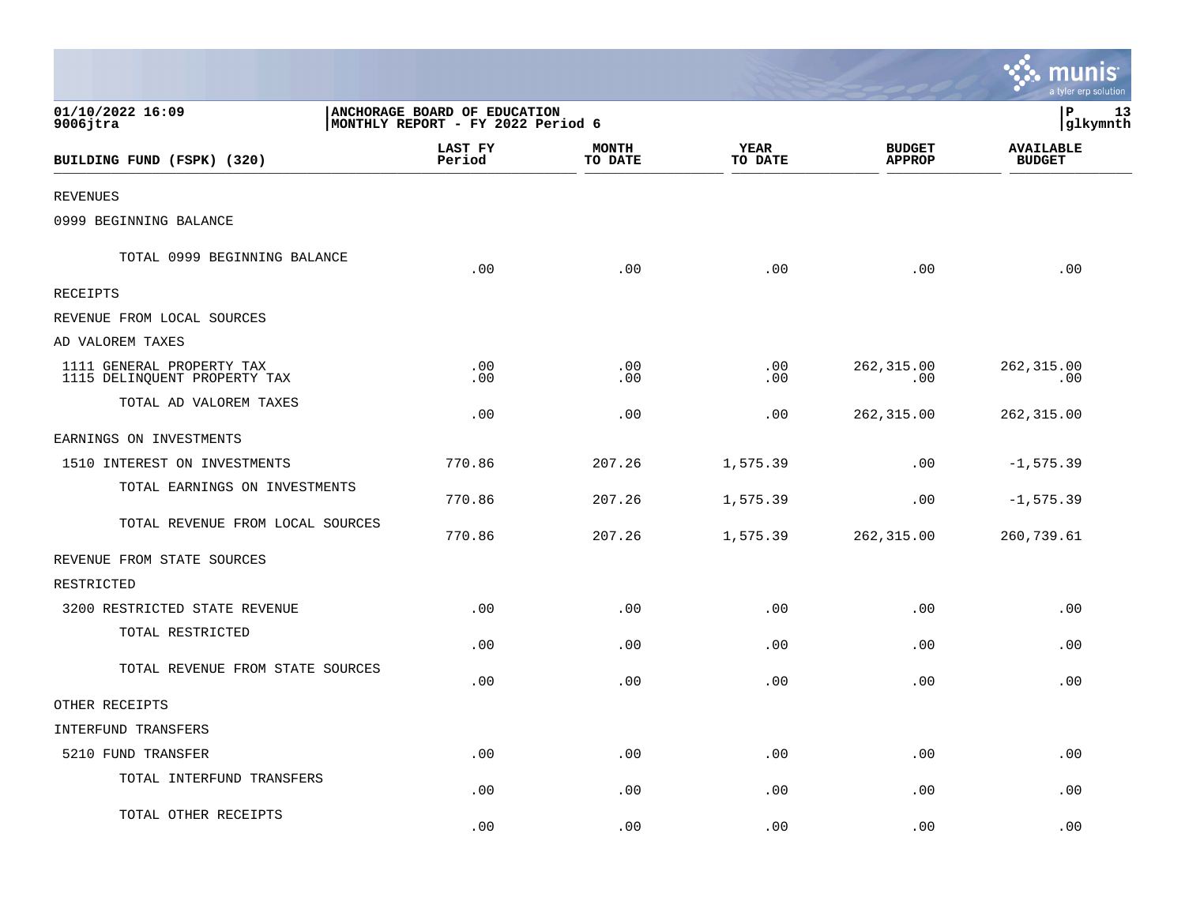|                                                           |                                                                   |                         |                             |                                | a tyler erp solution              |
|-----------------------------------------------------------|-------------------------------------------------------------------|-------------------------|-----------------------------|--------------------------------|-----------------------------------|
| 01/10/2022 16:09<br>$9006$ jtra                           | ANCHORAGE BOARD OF EDUCATION<br>MONTHLY REPORT - FY 2022 Period 6 |                         |                             |                                | P<br>13<br>glkymnth               |
| BUILDING FUND (FSPK) (320)                                | LAST FY<br>Period                                                 | <b>MONTH</b><br>TO DATE | <b>YEAR</b><br>TO DATE      | <b>BUDGET</b><br><b>APPROP</b> | <b>AVAILABLE</b><br><b>BUDGET</b> |
| REVENUES                                                  |                                                                   |                         |                             |                                |                                   |
| 0999 BEGINNING BALANCE                                    |                                                                   |                         |                             |                                |                                   |
| TOTAL 0999 BEGINNING BALANCE                              | .00                                                               | .00                     | .00                         | .00                            | .00                               |
| RECEIPTS                                                  |                                                                   |                         |                             |                                |                                   |
| REVENUE FROM LOCAL SOURCES                                |                                                                   |                         |                             |                                |                                   |
| AD VALOREM TAXES                                          |                                                                   |                         |                             |                                |                                   |
| 1111 GENERAL PROPERTY TAX<br>1115 DELINQUENT PROPERTY TAX | $.00 \,$<br>.00                                                   | .00<br>.00              | .00<br>.00                  | 262,315.00<br>.00              | 262,315.00<br>.00                 |
| TOTAL AD VALOREM TAXES                                    | .00                                                               | .00                     | .00                         | 262,315.00                     | 262, 315.00                       |
| EARNINGS ON INVESTMENTS                                   |                                                                   |                         |                             |                                |                                   |
| 1510 INTEREST ON INVESTMENTS                              | 770.86                                                            | 207.26                  | 1,575.39                    | .00                            | $-1, 575.39$                      |
| TOTAL EARNINGS ON INVESTMENTS                             | 770.86                                                            | 207.26                  | 1,575.39                    | .00                            | $-1, 575.39$                      |
| TOTAL REVENUE FROM LOCAL SOURCES                          | 770.86                                                            | 207.26                  | 1,575.39                    | 262,315.00                     | 260,739.61                        |
| REVENUE FROM STATE SOURCES                                |                                                                   |                         |                             |                                |                                   |
| RESTRICTED                                                |                                                                   |                         |                             |                                |                                   |
| 3200 RESTRICTED STATE REVENUE                             | .00                                                               | .00                     | .00                         | .00                            | .00                               |
| TOTAL RESTRICTED                                          | .00                                                               | .00                     | .00                         | .00                            | .00                               |
| TOTAL REVENUE FROM STATE SOURCES                          | .00                                                               | .00                     | .00                         | .00                            | .00                               |
| OTHER RECEIPTS                                            |                                                                   |                         |                             |                                |                                   |
| INTERFUND TRANSFERS                                       |                                                                   |                         |                             |                                |                                   |
| 5210 FUND TRANSFER                                        | .00                                                               | .00                     | $\boldsymbol{\mathsf{.00}}$ | .00                            | .00                               |
| TOTAL INTERFUND TRANSFERS                                 | .00                                                               | .00                     | .00                         | .00                            | .00                               |
| TOTAL OTHER RECEIPTS                                      | .00                                                               | .00                     | .00                         | .00                            | .00                               |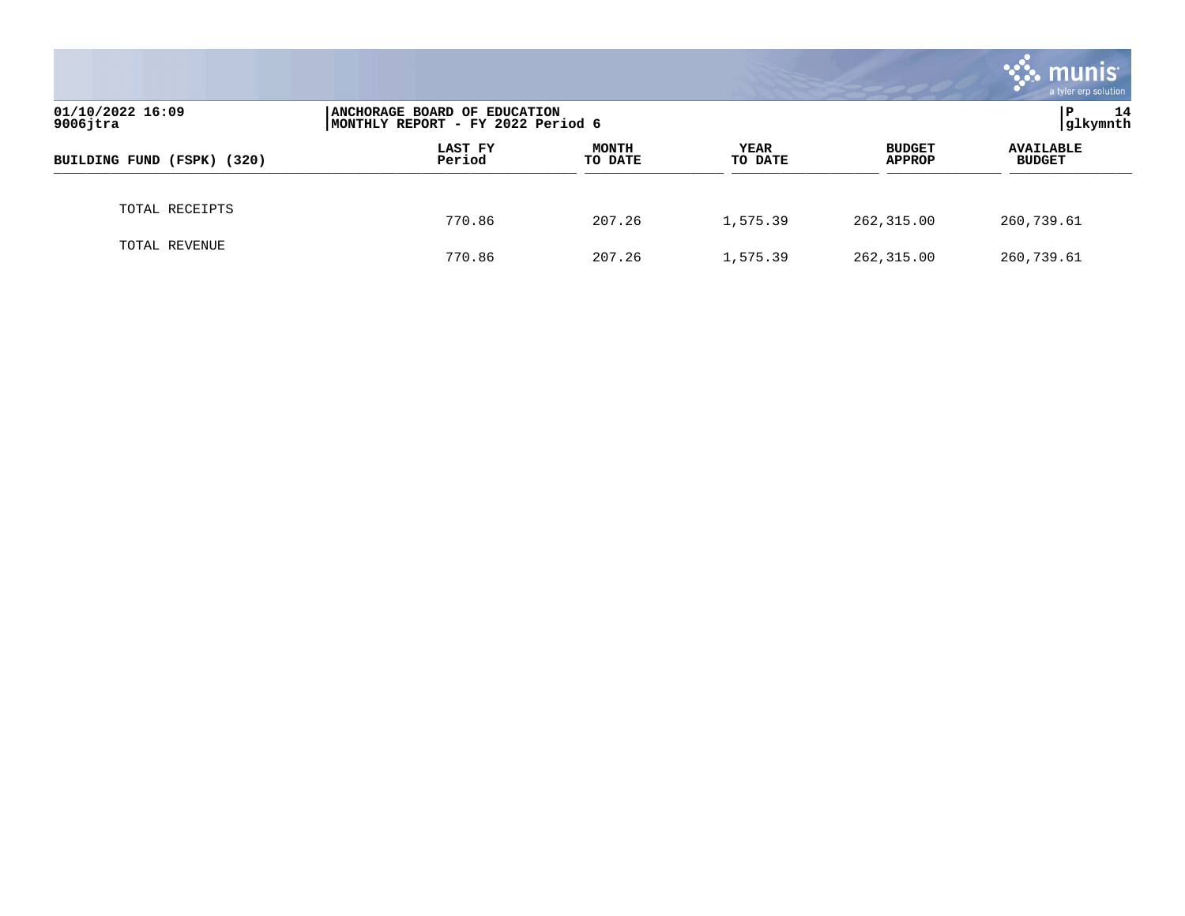|                                 |                                                                    |                         |                        |                                | munis<br>a tyler erp solution     |
|---------------------------------|--------------------------------------------------------------------|-------------------------|------------------------|--------------------------------|-----------------------------------|
| 01/10/2022 16:09<br>$9006$ jtra | ANCHORAGE BOARD OF EDUCATION<br> MONTHLY REPORT - FY 2022 Period 6 | 14<br>P<br> glkymnth    |                        |                                |                                   |
| BUILDING FUND (FSPK) (320)      | LAST FY<br>Period                                                  | <b>MONTH</b><br>TO DATE | <b>YEAR</b><br>TO DATE | <b>BUDGET</b><br><b>APPROP</b> | <b>AVAILABLE</b><br><b>BUDGET</b> |
| TOTAL RECEIPTS                  | 770.86                                                             | 207.26                  | 1,575.39               | 262,315.00                     | 260,739.61                        |
| TOTAL REVENUE                   | 770.86                                                             | 207.26                  | 1,575.39               | 262,315.00                     | 260,739.61                        |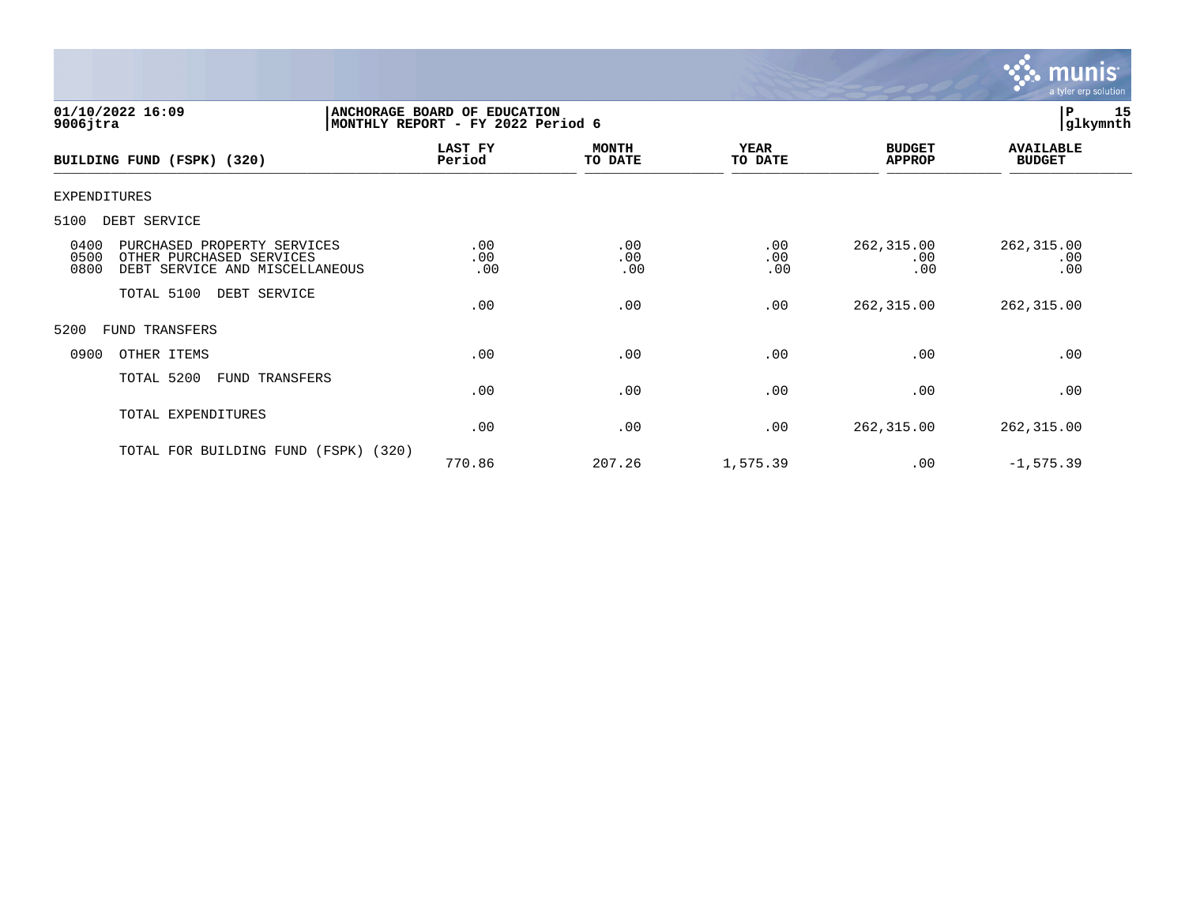

| 01/10/2022 16:09<br>$9006$ jtra                                                                                   | ANCHORAGE BOARD OF EDUCATION<br>MONTHLY REPORT - FY 2022 Period 6 |                         |                        |                                | 15<br> P<br> glkymnth             |
|-------------------------------------------------------------------------------------------------------------------|-------------------------------------------------------------------|-------------------------|------------------------|--------------------------------|-----------------------------------|
| BUILDING FUND (FSPK) (320)                                                                                        | LAST FY<br>Period                                                 | <b>MONTH</b><br>TO DATE | <b>YEAR</b><br>TO DATE | <b>BUDGET</b><br><b>APPROP</b> | <b>AVAILABLE</b><br><b>BUDGET</b> |
| <b>EXPENDITURES</b>                                                                                               |                                                                   |                         |                        |                                |                                   |
| 5100<br>DEBT SERVICE                                                                                              |                                                                   |                         |                        |                                |                                   |
| 0400<br>PURCHASED PROPERTY SERVICES<br>0500<br>OTHER PURCHASED SERVICES<br>0800<br>DEBT SERVICE AND MISCELLANEOUS | .00<br>.00<br>.00                                                 | .00<br>.00<br>.00       | .00<br>.00<br>.00      | 262,315.00<br>.00<br>.00       | 262, 315.00<br>.00<br>.00         |
| TOTAL 5100<br>DEBT SERVICE                                                                                        | .00                                                               | .00                     | .00                    | 262,315.00                     | 262,315.00                        |
| 5200<br>FUND TRANSFERS                                                                                            |                                                                   |                         |                        |                                |                                   |
| 0900<br>OTHER ITEMS                                                                                               | .00                                                               | .00                     | .00                    | .00                            | .00                               |
| TOTAL 5200<br>FUND TRANSFERS                                                                                      | .00                                                               | .00                     | .00                    | .00                            | .00                               |
| TOTAL EXPENDITURES                                                                                                | .00                                                               | .00                     | .00                    | 262,315.00                     | 262, 315.00                       |
| TOTAL FOR BUILDING FUND<br>(FSPK)                                                                                 | (320)<br>770.86                                                   | 207.26                  | 1,575.39               | .00                            | $-1, 575.39$                      |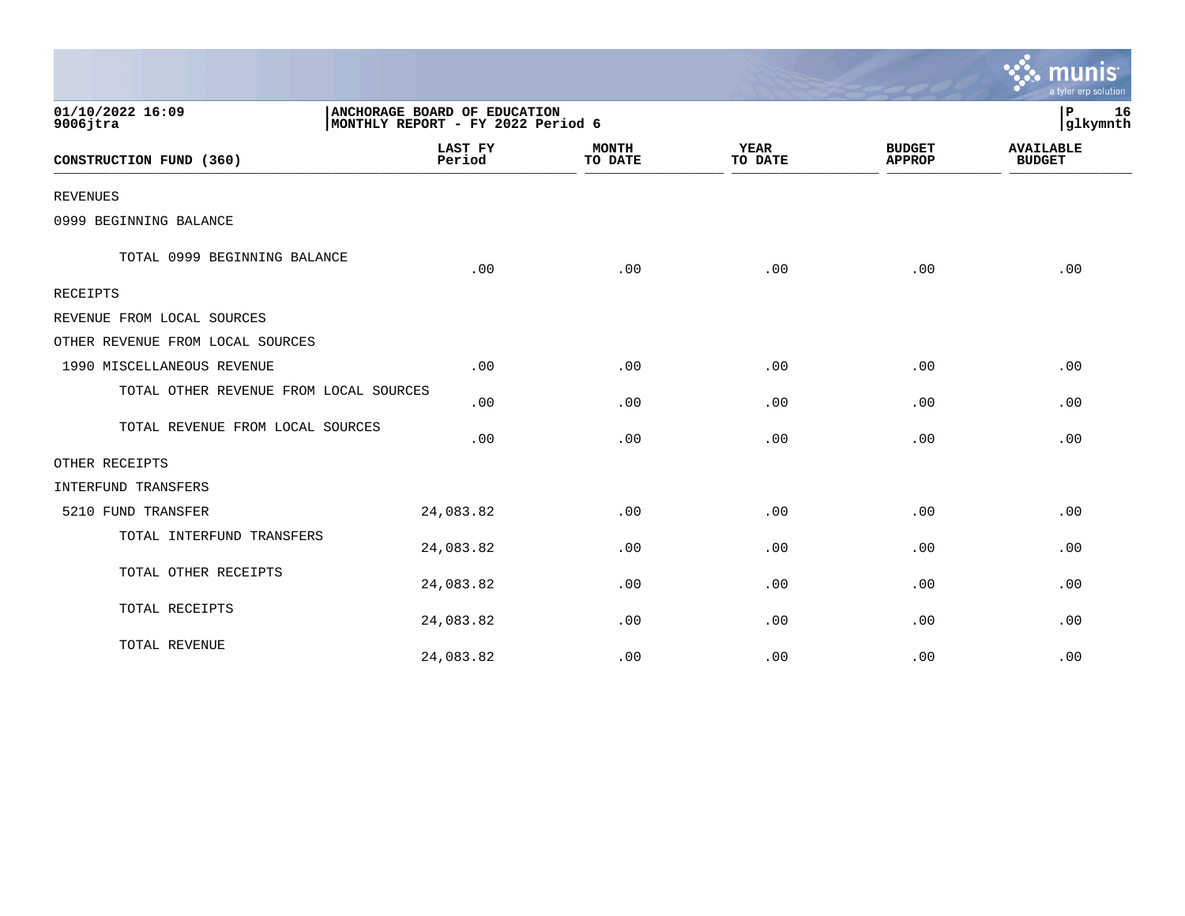|                                        |                                                                   |                         |                        |                                | a tyler erp solution              |
|----------------------------------------|-------------------------------------------------------------------|-------------------------|------------------------|--------------------------------|-----------------------------------|
| 01/10/2022 16:09<br>$9006$ jtra        | ANCHORAGE BOARD OF EDUCATION<br>MONTHLY REPORT - FY 2022 Period 6 |                         |                        |                                | 16<br>$\mathbf P$<br>glkymnth     |
| CONSTRUCTION FUND (360)                | <b>LAST FY</b><br>Period                                          | <b>MONTH</b><br>TO DATE | <b>YEAR</b><br>TO DATE | <b>BUDGET</b><br><b>APPROP</b> | <b>AVAILABLE</b><br><b>BUDGET</b> |
| <b>REVENUES</b>                        |                                                                   |                         |                        |                                |                                   |
| 0999 BEGINNING BALANCE                 |                                                                   |                         |                        |                                |                                   |
| TOTAL 0999 BEGINNING BALANCE           | .00                                                               | .00                     | .00                    | .00                            | .00                               |
| <b>RECEIPTS</b>                        |                                                                   |                         |                        |                                |                                   |
| REVENUE FROM LOCAL SOURCES             |                                                                   |                         |                        |                                |                                   |
| OTHER REVENUE FROM LOCAL SOURCES       |                                                                   |                         |                        |                                |                                   |
| 1990 MISCELLANEOUS REVENUE             | .00                                                               | .00                     | .00                    | .00                            | .00                               |
| TOTAL OTHER REVENUE FROM LOCAL SOURCES | .00                                                               | .00                     | .00                    | .00                            | .00                               |
| TOTAL REVENUE FROM LOCAL SOURCES       | .00                                                               | .00                     | .00                    | .00                            | .00                               |
| OTHER RECEIPTS                         |                                                                   |                         |                        |                                |                                   |
| INTERFUND TRANSFERS                    |                                                                   |                         |                        |                                |                                   |
| 5210 FUND TRANSFER                     | 24,083.82                                                         | .00                     | .00                    | .00                            | .00                               |
| TOTAL INTERFUND TRANSFERS              | 24,083.82                                                         | .00                     | .00                    | .00                            | .00                               |
| TOTAL OTHER RECEIPTS                   | 24,083.82                                                         | .00                     | .00                    | .00                            | .00                               |
| TOTAL RECEIPTS                         | 24,083.82                                                         | .00                     | .00                    | .00                            | .00                               |
| TOTAL REVENUE                          | 24,083.82                                                         | .00                     | .00                    | .00                            | .00                               |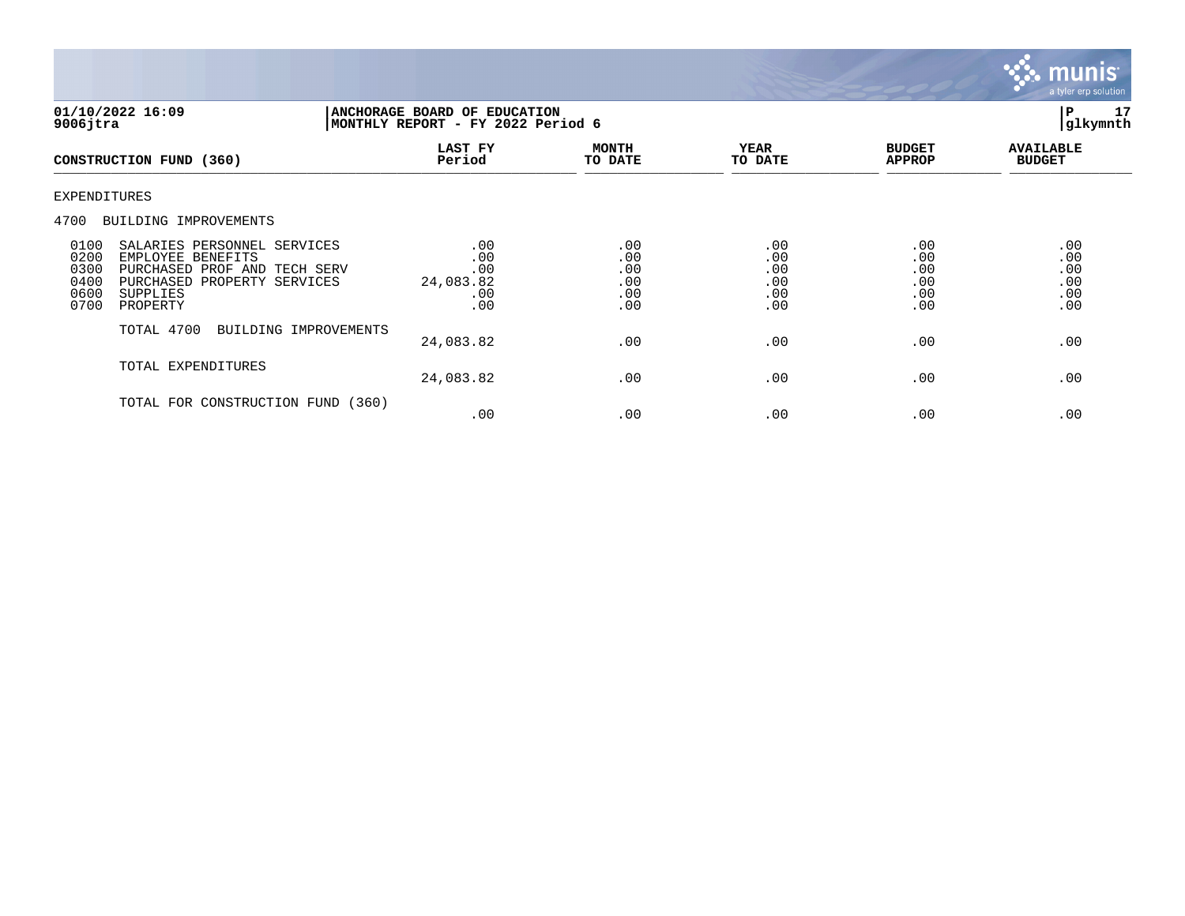

| 01/10/2022 16:09<br>$9006$ jtra                                                                                                                                                            | ANCHORAGE BOARD OF EDUCATION<br>MONTHLY REPORT - FY 2022 Period 6 |                                        |                                        |                                        | 17<br>l P<br>glkymnth                  |
|--------------------------------------------------------------------------------------------------------------------------------------------------------------------------------------------|-------------------------------------------------------------------|----------------------------------------|----------------------------------------|----------------------------------------|----------------------------------------|
| CONSTRUCTION FUND (360)                                                                                                                                                                    | <b>LAST FY</b><br>Period                                          | <b>MONTH</b><br>TO DATE                | <b>YEAR</b><br>TO DATE                 | <b>BUDGET</b><br><b>APPROP</b>         | <b>AVAILABLE</b><br><b>BUDGET</b>      |
| <b>EXPENDITURES</b>                                                                                                                                                                        |                                                                   |                                        |                                        |                                        |                                        |
| 4700<br>BUILDING IMPROVEMENTS                                                                                                                                                              |                                                                   |                                        |                                        |                                        |                                        |
| 0100<br>SALARIES PERSONNEL SERVICES<br>0200<br>EMPLOYEE BENEFITS<br>0300<br>PURCHASED PROF AND TECH SERV<br>0400<br>PURCHASED<br>PROPERTY SERVICES<br>0600<br>SUPPLIES<br>0700<br>PROPERTY | .00<br>.00<br>.00<br>24,083.82<br>.00<br>.00                      | .00<br>.00<br>.00<br>.00<br>.00<br>.00 | .00<br>.00<br>.00<br>.00<br>.00<br>.00 | .00<br>.00<br>.00<br>.00<br>.00<br>.00 | .00<br>.00<br>.00<br>.00<br>.00<br>.00 |
| TOTAL 4700<br>BUILDING IMPROVEMENTS                                                                                                                                                        | 24,083.82                                                         | .00                                    | .00                                    | .00                                    | .00                                    |
| TOTAL EXPENDITURES                                                                                                                                                                         | 24,083.82                                                         | .00                                    | .00                                    | .00                                    | .00                                    |
| TOTAL FOR CONSTRUCTION FUND                                                                                                                                                                | (360)<br>.00                                                      | .00                                    | .00                                    | .00                                    | .00                                    |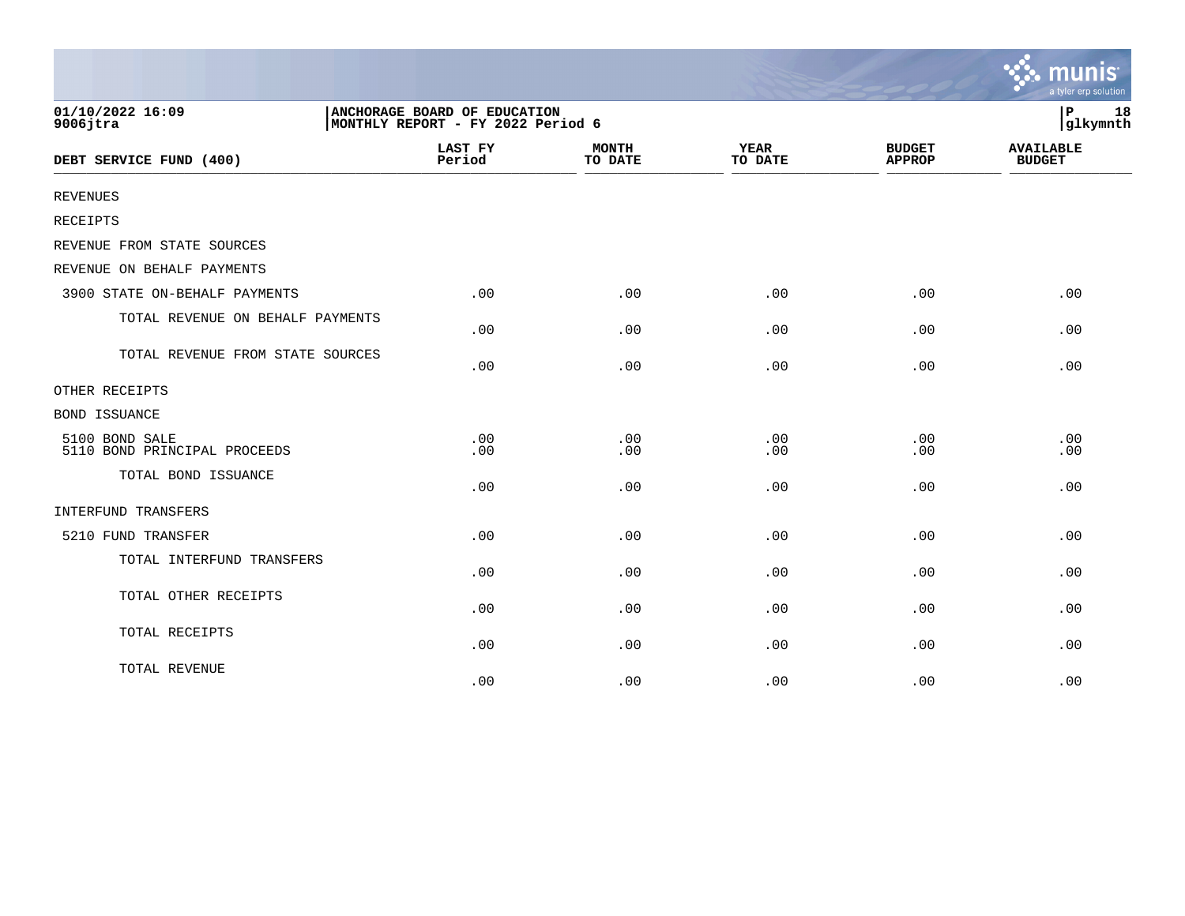|                                                |                                                                   |                         |                        |                                | mun<br><b>IS</b><br>a tyler erp solution |
|------------------------------------------------|-------------------------------------------------------------------|-------------------------|------------------------|--------------------------------|------------------------------------------|
| 01/10/2022 16:09<br>$9006$ jtra                | ANCHORAGE BOARD OF EDUCATION<br>MONTHLY REPORT - FY 2022 Period 6 |                         |                        |                                | 18<br>ΙP<br>glkymnth                     |
| DEBT SERVICE FUND (400)                        | LAST FY<br>Period                                                 | <b>MONTH</b><br>TO DATE | <b>YEAR</b><br>TO DATE | <b>BUDGET</b><br><b>APPROP</b> | <b>AVAILABLE</b><br><b>BUDGET</b>        |
| <b>REVENUES</b>                                |                                                                   |                         |                        |                                |                                          |
| <b>RECEIPTS</b>                                |                                                                   |                         |                        |                                |                                          |
| REVENUE FROM STATE SOURCES                     |                                                                   |                         |                        |                                |                                          |
| REVENUE ON BEHALF PAYMENTS                     |                                                                   |                         |                        |                                |                                          |
| 3900 STATE ON-BEHALF PAYMENTS                  | .00                                                               | .00                     | .00                    | .00                            | .00                                      |
| TOTAL REVENUE ON BEHALF PAYMENTS               | .00                                                               | .00                     | .00                    | .00                            | .00                                      |
| TOTAL REVENUE FROM STATE SOURCES               | .00                                                               | .00                     | .00                    | .00                            | .00                                      |
| OTHER RECEIPTS                                 |                                                                   |                         |                        |                                |                                          |
| <b>BOND ISSUANCE</b>                           |                                                                   |                         |                        |                                |                                          |
| 5100 BOND SALE<br>5110 BOND PRINCIPAL PROCEEDS | .00<br>.00                                                        | .00<br>.00              | .00<br>.00             | .00<br>.00                     | .00<br>.00                               |
| TOTAL BOND ISSUANCE                            | .00                                                               | .00                     | .00                    | .00                            | .00                                      |
| INTERFUND TRANSFERS                            |                                                                   |                         |                        |                                |                                          |
| 5210 FUND TRANSFER                             | .00                                                               | .00                     | .00                    | .00                            | .00                                      |
| TOTAL INTERFUND TRANSFERS                      | .00                                                               | .00                     | .00                    | .00                            | .00                                      |
| TOTAL OTHER RECEIPTS                           | .00                                                               | .00                     | .00                    | .00                            | .00                                      |
| TOTAL RECEIPTS                                 | .00                                                               | .00                     | .00                    | .00                            | .00                                      |
| TOTAL REVENUE                                  | .00                                                               | .00                     | .00                    | .00                            | .00                                      |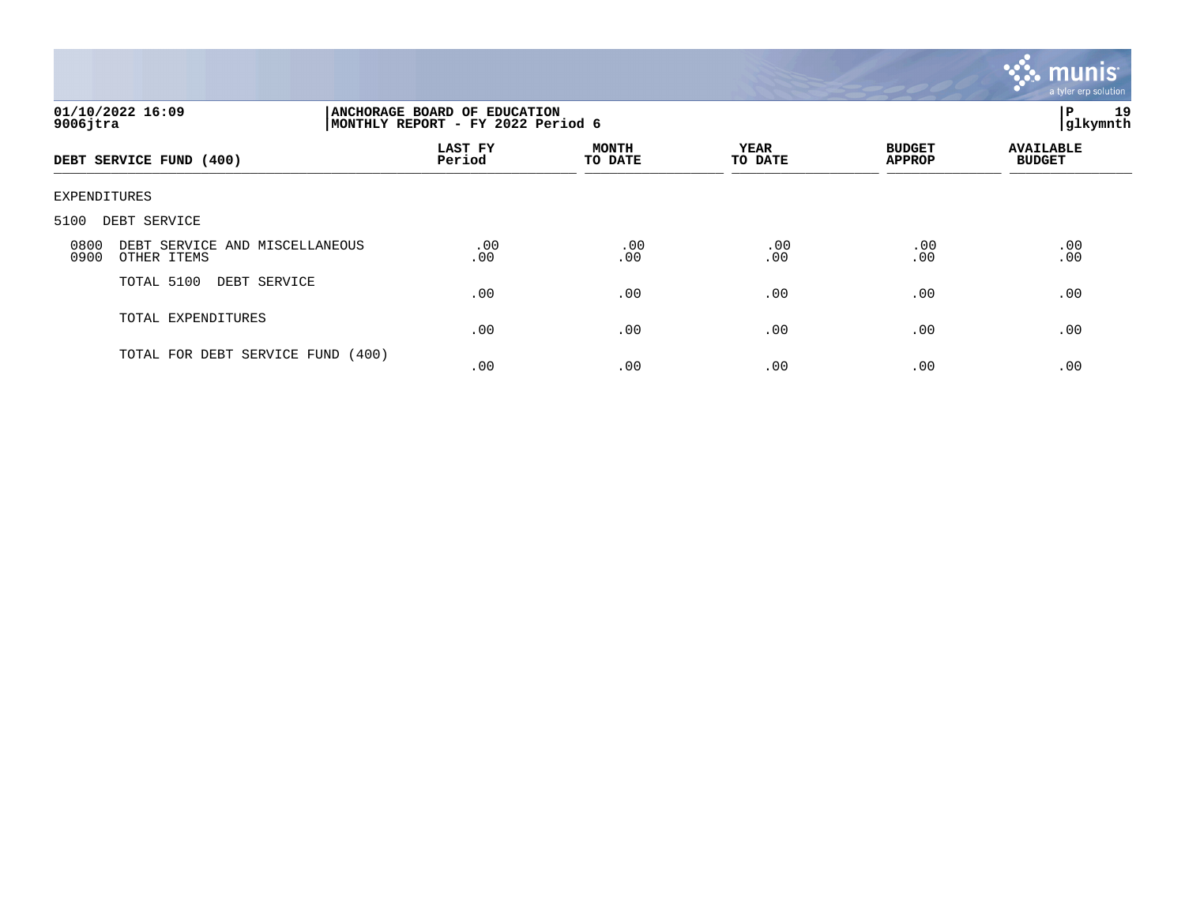

| 01/10/2022 16:09<br>$9006$ jtra                               |                   | ANCHORAGE BOARD OF EDUCATION<br>MONTHLY REPORT - FY 2022 Period 6 |                        |                                |                                   |  |  |
|---------------------------------------------------------------|-------------------|-------------------------------------------------------------------|------------------------|--------------------------------|-----------------------------------|--|--|
| DEBT SERVICE FUND (400)                                       | LAST FY<br>Period | <b>MONTH</b><br>TO DATE                                           | <b>YEAR</b><br>TO DATE | <b>BUDGET</b><br><b>APPROP</b> | <b>AVAILABLE</b><br><b>BUDGET</b> |  |  |
| EXPENDITURES                                                  |                   |                                                                   |                        |                                |                                   |  |  |
| 5100<br>DEBT SERVICE                                          |                   |                                                                   |                        |                                |                                   |  |  |
| DEBT SERVICE AND MISCELLANEOUS<br>0800<br>0900<br>OTHER ITEMS | .00<br>.00        | .00<br>.00                                                        | .00<br>.00             | .00<br>.00                     | .00<br>.00                        |  |  |
| TOTAL 5100<br>DEBT SERVICE                                    | .00               | .00                                                               | .00                    | .00                            | .00                               |  |  |
| TOTAL EXPENDITURES                                            | .00               | .00                                                               | .00                    | .00                            | .00                               |  |  |
| TOTAL FOR DEBT SERVICE FUND (400)                             | .00               | .00                                                               | .00                    | .00                            | .00                               |  |  |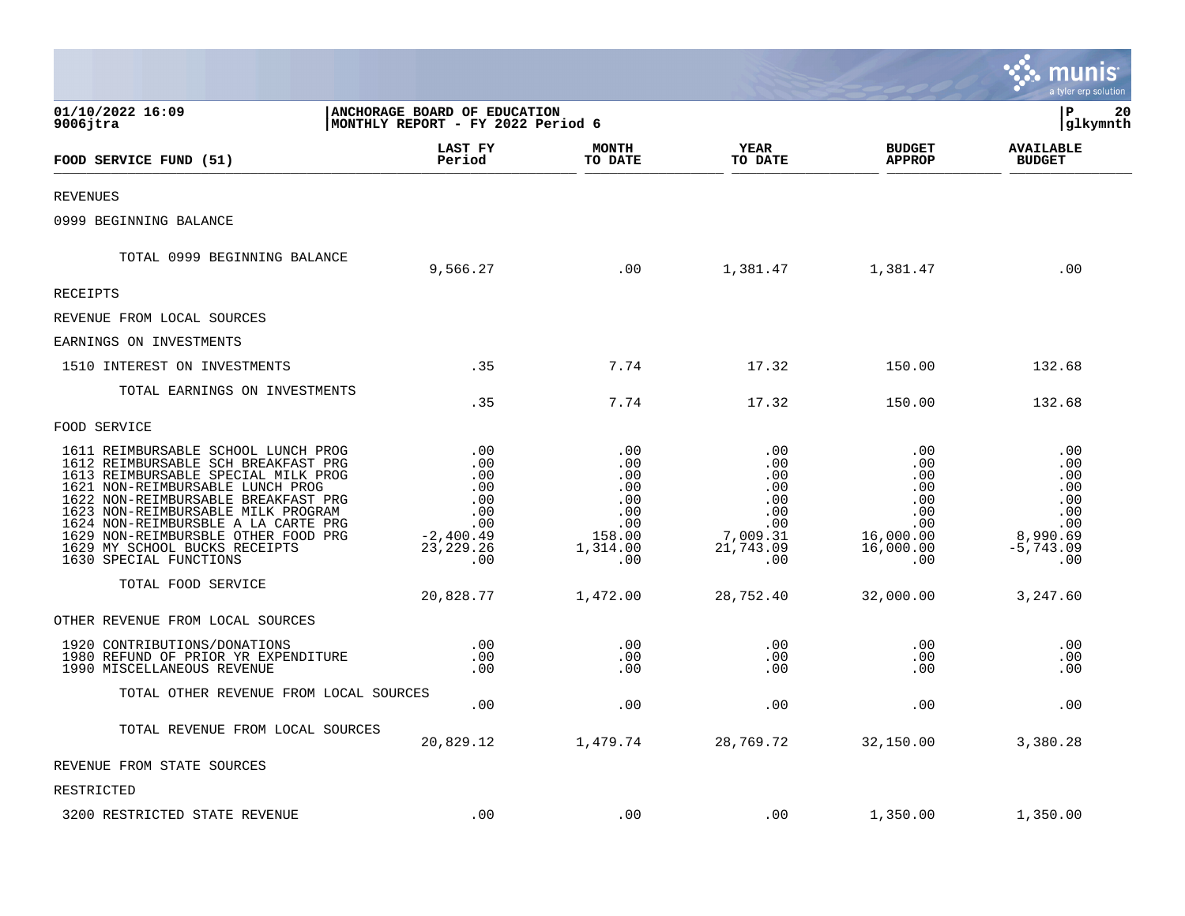|                                                                                                                                                                                                                                                                                                                                                                             |                                                                                    |                                                                            |                                                                               |                                                                                | a tyler erp solution                                                            |
|-----------------------------------------------------------------------------------------------------------------------------------------------------------------------------------------------------------------------------------------------------------------------------------------------------------------------------------------------------------------------------|------------------------------------------------------------------------------------|----------------------------------------------------------------------------|-------------------------------------------------------------------------------|--------------------------------------------------------------------------------|---------------------------------------------------------------------------------|
| 01/10/2022 16:09<br>$9006$ jtra                                                                                                                                                                                                                                                                                                                                             | <b>ANCHORAGE BOARD OF EDUCATION</b><br>MONTHLY REPORT - FY 2022 Period 6           |                                                                            |                                                                               |                                                                                | P<br>20<br>glkymnth                                                             |
| FOOD SERVICE FUND (51)                                                                                                                                                                                                                                                                                                                                                      | LAST FY<br>Period                                                                  | <b>MONTH</b><br>TO DATE                                                    | <b>YEAR</b><br>TO DATE                                                        | <b>BUDGET</b><br><b>APPROP</b>                                                 | <b>AVAILABLE</b><br><b>BUDGET</b>                                               |
| <b>REVENUES</b>                                                                                                                                                                                                                                                                                                                                                             |                                                                                    |                                                                            |                                                                               |                                                                                |                                                                                 |
| 0999 BEGINNING BALANCE                                                                                                                                                                                                                                                                                                                                                      |                                                                                    |                                                                            |                                                                               |                                                                                |                                                                                 |
| TOTAL 0999 BEGINNING BALANCE                                                                                                                                                                                                                                                                                                                                                | 9,566.27                                                                           | .00                                                                        | 1,381.47                                                                      | 1,381.47                                                                       | .00                                                                             |
| <b>RECEIPTS</b>                                                                                                                                                                                                                                                                                                                                                             |                                                                                    |                                                                            |                                                                               |                                                                                |                                                                                 |
| REVENUE FROM LOCAL SOURCES                                                                                                                                                                                                                                                                                                                                                  |                                                                                    |                                                                            |                                                                               |                                                                                |                                                                                 |
| EARNINGS ON INVESTMENTS                                                                                                                                                                                                                                                                                                                                                     |                                                                                    |                                                                            |                                                                               |                                                                                |                                                                                 |
| 1510 INTEREST ON INVESTMENTS                                                                                                                                                                                                                                                                                                                                                | .35                                                                                | 7.74                                                                       | 17.32                                                                         | 150.00                                                                         | 132.68                                                                          |
| TOTAL EARNINGS ON INVESTMENTS                                                                                                                                                                                                                                                                                                                                               | .35                                                                                | 7.74                                                                       | 17.32                                                                         | 150.00                                                                         | 132.68                                                                          |
| FOOD SERVICE                                                                                                                                                                                                                                                                                                                                                                |                                                                                    |                                                                            |                                                                               |                                                                                |                                                                                 |
| 1611 REIMBURSABLE SCHOOL LUNCH PROG<br>1612 REIMBURSABLE SCH BREAKFAST PRG<br>1613 REIMBURSABLE SPECIAL MILK PROG<br>1621 NON-REIMBURSABLE LUNCH PROG<br>1622 NON-REIMBURSABLE BREAKFAST PRG<br>1623 NON-REIMBURSABLE MILK PROGRAM<br>1624 NON-REIMBURSBLE A LA CARTE PRG<br>1629 NON-REIMBURSBLE OTHER FOOD PRG<br>1629 MY SCHOOL BUCKS RECEIPTS<br>1630 SPECIAL FUNCTIONS | .00<br>.00<br>.00<br>.00<br>.00<br>.00<br>.00<br>$-2,400.49$<br>23, 229. 26<br>.00 | .00<br>.00<br>.00<br>.00<br>.00<br>.00<br>.00<br>158.00<br>1,314.00<br>.00 | .00<br>.00<br>.00<br>.00<br>.00<br>.00<br>.00<br>7,009.31<br>21,743.09<br>.00 | .00<br>.00<br>.00<br>.00<br>.00<br>.00<br>.00<br>16,000.00<br>16,000.00<br>.00 | .00<br>.00<br>.00<br>.00<br>.00<br>.00<br>.00<br>8,990.69<br>$-5,743.09$<br>.00 |
| TOTAL FOOD SERVICE                                                                                                                                                                                                                                                                                                                                                          | 20,828.77                                                                          | 1,472.00                                                                   | 28,752.40                                                                     | 32,000.00                                                                      | 3,247.60                                                                        |
| OTHER REVENUE FROM LOCAL SOURCES                                                                                                                                                                                                                                                                                                                                            |                                                                                    |                                                                            |                                                                               |                                                                                |                                                                                 |
| 1920 CONTRIBUTIONS/DONATIONS<br>1980 REFUND OF PRIOR YR EXPENDITURE<br>1990 MISCELLANEOUS REVENUE                                                                                                                                                                                                                                                                           | .00<br>.00<br>.00                                                                  | .00<br>.00<br>.00                                                          | .00<br>.00<br>.00                                                             | .00<br>.00<br>.00                                                              | .00<br>.00<br>.00                                                               |
| TOTAL OTHER REVENUE FROM LOCAL SOURCES                                                                                                                                                                                                                                                                                                                                      | .00                                                                                | .00                                                                        | .00                                                                           | .00                                                                            | .00                                                                             |
| TOTAL REVENUE FROM LOCAL SOURCES                                                                                                                                                                                                                                                                                                                                            | 20,829.12                                                                          | 1,479.74                                                                   | 28,769.72                                                                     | 32,150.00                                                                      | 3,380.28                                                                        |
| REVENUE FROM STATE SOURCES                                                                                                                                                                                                                                                                                                                                                  |                                                                                    |                                                                            |                                                                               |                                                                                |                                                                                 |
| RESTRICTED                                                                                                                                                                                                                                                                                                                                                                  |                                                                                    |                                                                            |                                                                               |                                                                                |                                                                                 |
| 3200 RESTRICTED STATE REVENUE                                                                                                                                                                                                                                                                                                                                               | .00                                                                                | .00                                                                        | .00                                                                           | 1,350.00                                                                       | 1,350.00                                                                        |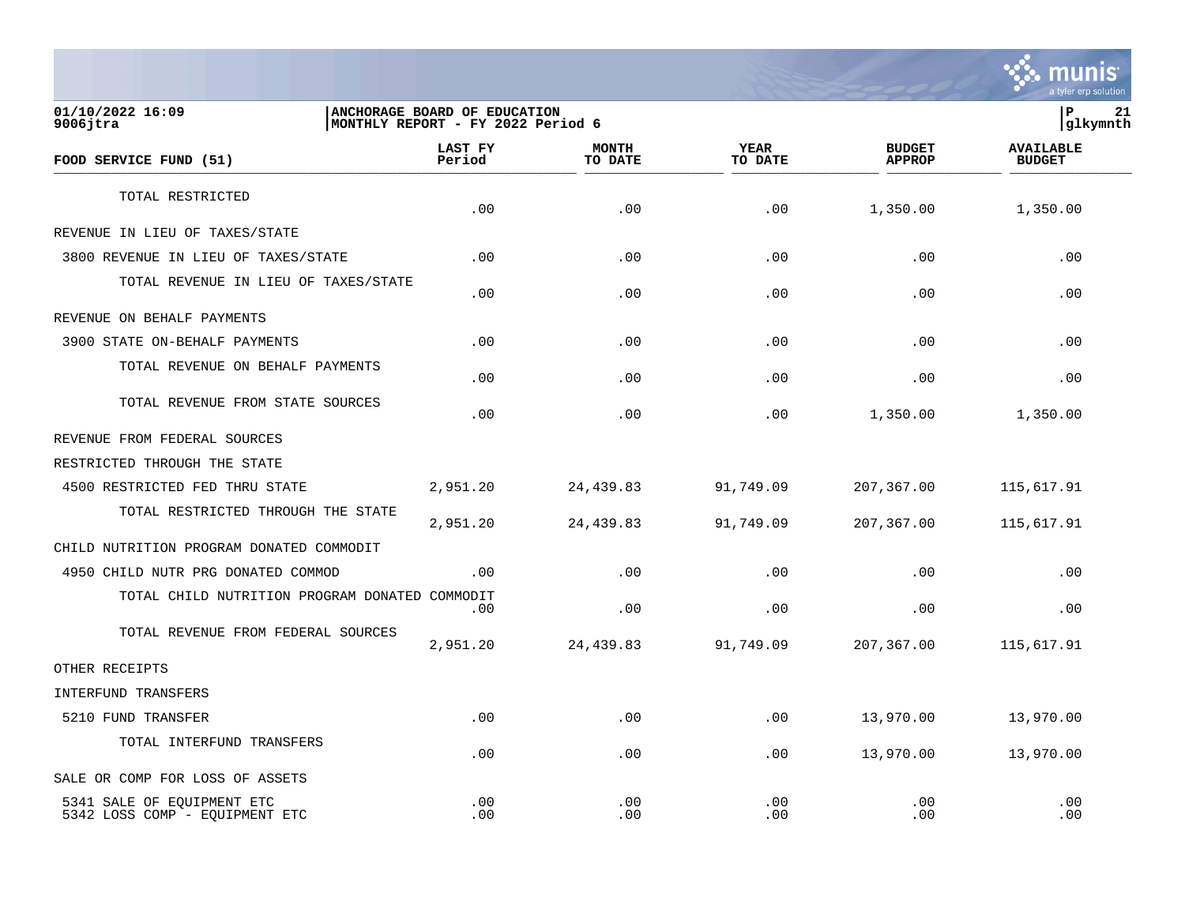

**01/10/2022 16:09 |ANCHORAGE BOARD OF EDUCATION |P 21 9006jtra |MONTHLY REPORT - FY 2022 Period 6 |glkymnth LAST FY MONTH YEAR BUDGET AVAILABLE FOOD SERVICE FUND (51) Period TO DATE TO DATE APPROP BUDGET**   $\frac{10 \text{ BFR}}{10 \text{ BFR}}$ TOTAL RESTRICTED  $.00$   $.00$   $.00$   $.00$   $.00$   $.00$   $.00$   $.00$   $.00$   $.00$ REVENUE IN LIEU OF TAXES/STATE 3800 REVENUE IN LIEU OF TAXES/STATE .00 .00 .00 .00 .00 TOTAL REVENUE IN LIEU OF TAXES/STATE .00 .00 .00 .00 .00 REVENUE ON BEHALF PAYMENTS 3900 STATE ON-BEHALF PAYMENTS .00 .00 .00 .00 .00 TOTAL REVENUE ON BEHALF PAYMENTS  $.00$  .  $.00$  .  $.00$  .  $.00$  .  $.00$  .  $.00$  .  $.00$  .  $.00$  .  $.00$  .  $.00$  .  $.00$  .  $.00$  .  $.00$  .  $.00$  .  $.00$  .  $.00$  .  $.00$  .  $.00$  .  $.00$  .  $.00$  .  $.00$  .  $.00$  .  $.00$  .  $.00$  .  $.00$  .  $.00$  .  $.00$  .  $.00$ TOTAL REVENUE FROM STATE SOURCES  $.00$   $.00$   $.00$   $.00$   $.00$   $.00$   $.00$   $.00$   $.00$   $.00$ REVENUE FROM FEDERAL SOURCES RESTRICTED THROUGH THE STATE 4500 RESTRICTED FED THRU STATE 2,951.20 24,439.83 91,749.09 207,367.00 115,617.91 TOTAL RESTRICTED THROUGH THE STATE 2,951.20 24,439.83 91,749.09 207,367.00 115,617.91 CHILD NUTRITION PROGRAM DONATED COMMODIT 4950 CHILD NUTR PRG DONATED COMMOD .00 .00 .00 .00 .00 TOTAL CHILD NUTRITION PROGRAM DONATED COMMODIT  $.00$  .  $.00$  .  $.00$  .  $.00$  .  $.00$  .  $.00$  .  $.00$  .  $.00$  .  $.00$  .  $.00$  .  $.00$  .  $.00$  .  $.00$  .  $.00$  .  $.00$  .  $.00$  .  $.00$  .  $.00$  .  $.00$  .  $.00$  .  $.00$  .  $.00$  .  $.00$  .  $.00$  .  $.00$  .  $.00$  .  $.00$  .  $.00$ TOTAL REVENUE FROM FEDERAL SOURCES 2,951.20 24,439.83 91,749.09 207,367.00 115,617.91 OTHER RECEIPTS INTERFUND TRANSFERS 5210 FUND TRANSFER .00 .00 .00 13,970.00 13,970.00 TOTAL INTERFUND TRANSFERS  $.00$   $.00$   $.00$   $.00$   $.00$   $.00$   $.00$   $.00$   $.00$   $.00$ SALE OR COMP FOR LOSS OF ASSETS 5341 SALE OF EQUIPMENT ETC .00 .00 .00 .00 .00 5342 LOSS COMP - EOUIPMENT ETC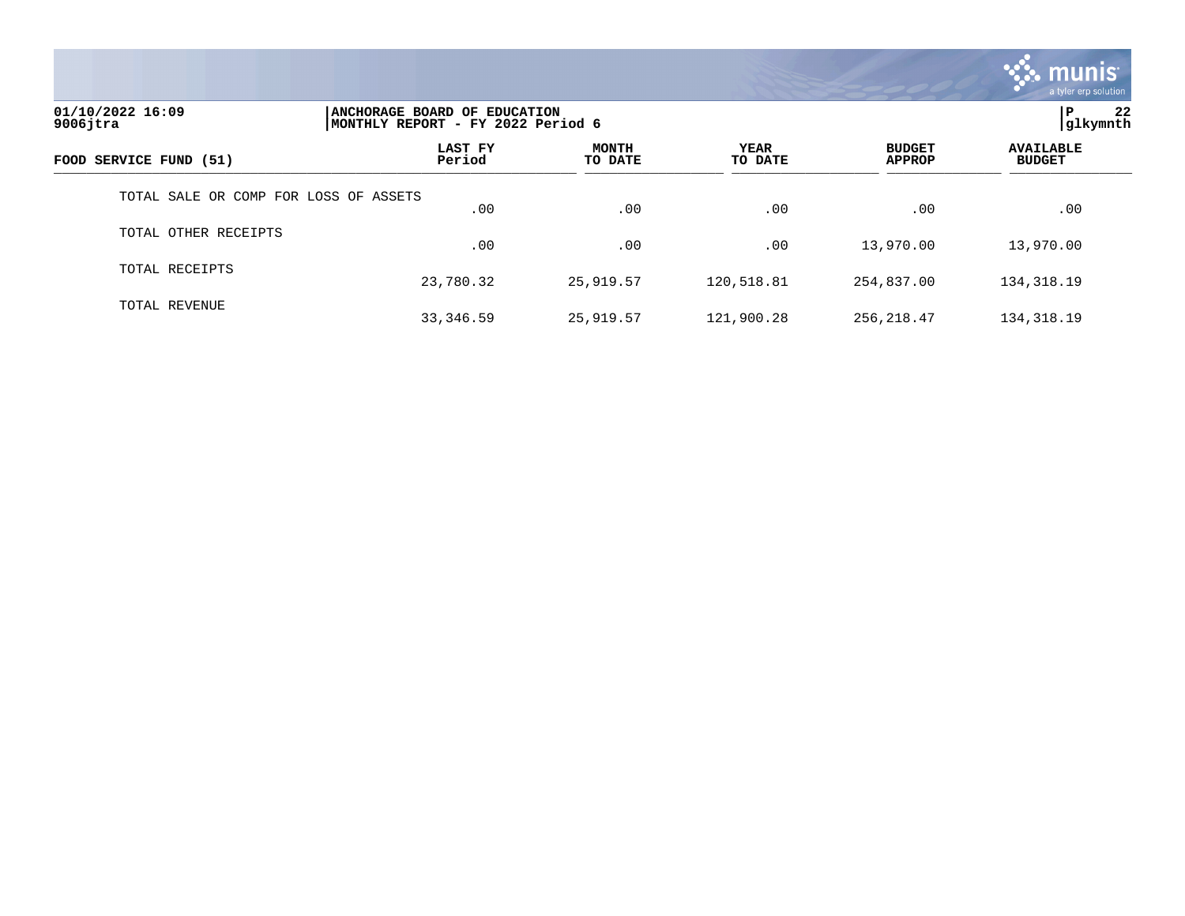

| 01/10/2022 16:09<br>$9006$ jtra       | ANCHORAGE BOARD OF EDUCATION<br>MONTHLY REPORT - FY 2022 Period 6 |                         |                 |                                | 22<br>ΙP<br> glkymnth             |
|---------------------------------------|-------------------------------------------------------------------|-------------------------|-----------------|--------------------------------|-----------------------------------|
| FOOD SERVICE FUND (51)                | LAST FY<br>Period                                                 | <b>MONTH</b><br>TO DATE | YEAR<br>TO DATE | <b>BUDGET</b><br><b>APPROP</b> | <b>AVAILABLE</b><br><b>BUDGET</b> |
| TOTAL SALE OR COMP FOR LOSS OF ASSETS | .00                                                               | .00                     | .00             | .00                            | .00                               |
| TOTAL OTHER RECEIPTS                  | .00                                                               | .00                     | .00             | 13,970.00                      | 13,970.00                         |
| TOTAL RECEIPTS                        | 23,780.32                                                         | 25,919.57               | 120,518.81      | 254,837.00                     | 134, 318.19                       |
| TOTAL REVENUE                         | 33,346.59                                                         | 25,919.57               | 121,900.28      | 256,218.47                     | 134, 318.19                       |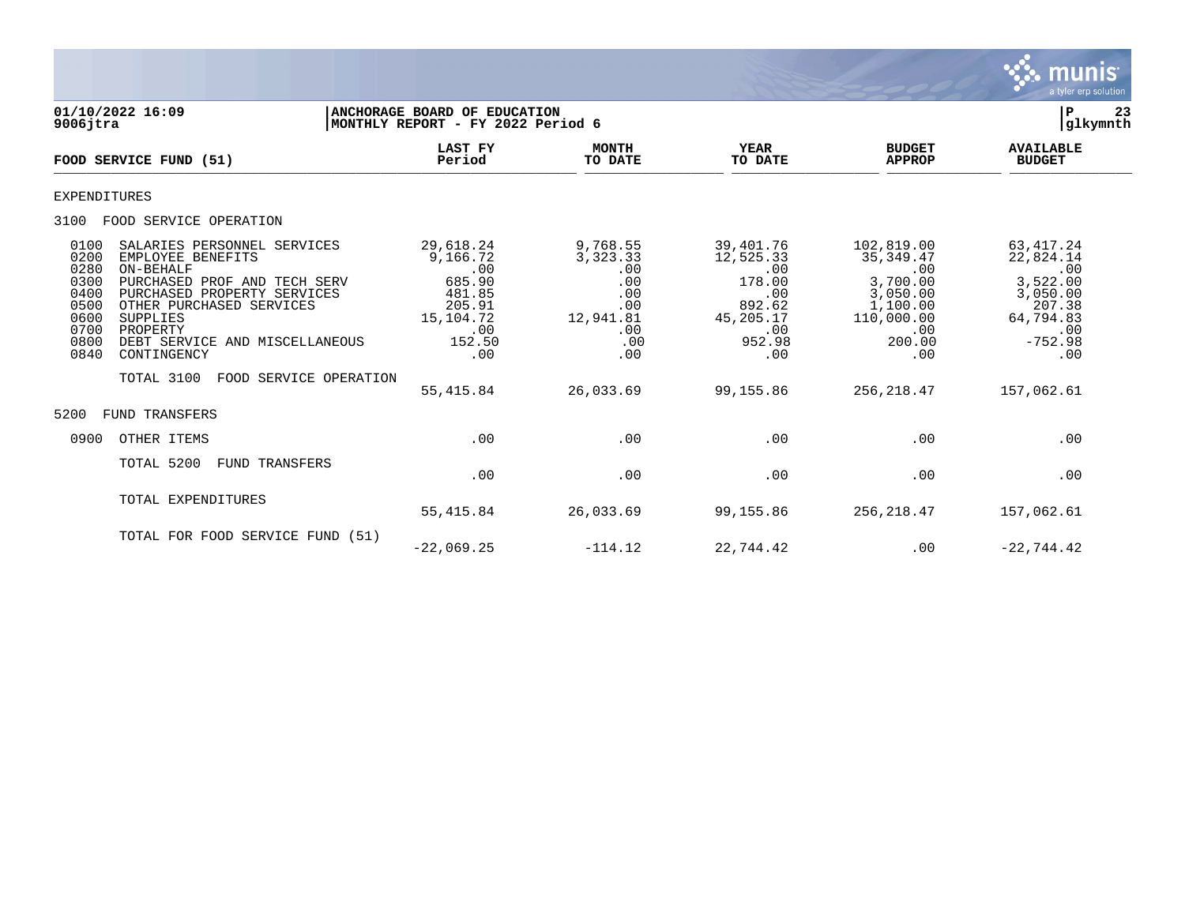

| 01/10/2022 16:09<br>$9006$ jtra                                                                                                                                                                                                                                                                                                                                  | ANCHORAGE BOARD OF EDUCATION<br>MONTHLY REPORT - FY 2022 Period 6                               |                                                                                      |                                                                                                    |                                                                                                           | 23<br>ΙP<br> glkymnth                                                                                     |
|------------------------------------------------------------------------------------------------------------------------------------------------------------------------------------------------------------------------------------------------------------------------------------------------------------------------------------------------------------------|-------------------------------------------------------------------------------------------------|--------------------------------------------------------------------------------------|----------------------------------------------------------------------------------------------------|-----------------------------------------------------------------------------------------------------------|-----------------------------------------------------------------------------------------------------------|
| FOOD SERVICE FUND (51)                                                                                                                                                                                                                                                                                                                                           | <b>LAST FY</b><br>Period                                                                        | <b>MONTH</b><br>TO DATE                                                              | YEAR<br>TO DATE                                                                                    | <b>BUDGET</b><br><b>APPROP</b>                                                                            | <b>AVAILABLE</b><br><b>BUDGET</b>                                                                         |
| <b>EXPENDITURES</b>                                                                                                                                                                                                                                                                                                                                              |                                                                                                 |                                                                                      |                                                                                                    |                                                                                                           |                                                                                                           |
| FOOD SERVICE OPERATION<br>3100                                                                                                                                                                                                                                                                                                                                   |                                                                                                 |                                                                                      |                                                                                                    |                                                                                                           |                                                                                                           |
| 0100<br>SALARIES PERSONNEL SERVICES<br>0200<br>EMPLOYEE BENEFITS<br>0280<br>ON-BEHALF<br>0300<br>PURCHASED PROF AND TECH SERV<br>PURCHASED PROPERTY SERVICES<br>0400<br>OTHER PURCHASED SERVICES<br>0500<br>0600<br><b>SUPPLIES</b><br>0700<br>PROPERTY<br>0800<br>DEBT SERVICE AND MISCELLANEOUS<br>0840<br>CONTINGENCY<br>TOTAL 3100<br>FOOD SERVICE OPERATION | 29,618.24<br>9,166.72<br>.00<br>685.90<br>481.85<br>205.91<br>15,104.72<br>.00<br>152.50<br>.00 | 9,768.55<br>3, 323. 33<br>.00<br>.00<br>.00<br>.00<br>12,941.81<br>.00<br>.00<br>.00 | 39,401.76<br>12,525.33<br>.00<br>178.00<br>.00<br>892.62<br>45,205.17<br>.00<br>952.98<br>$.00 \,$ | 102,819.00<br>35, 349.47<br>.00<br>3,700.00<br>3,050.00<br>1,100.00<br>110,000.00<br>.00<br>200.00<br>.00 | 63, 417. 24<br>22,824.14<br>.00<br>3,522.00<br>3,050.00<br>207.38<br>64,794.83<br>.00<br>$-752.98$<br>.00 |
| <b>FUND TRANSFERS</b><br>5200                                                                                                                                                                                                                                                                                                                                    | 55, 415.84                                                                                      | 26,033.69                                                                            | 99,155.86                                                                                          | 256, 218.47                                                                                               | 157,062.61                                                                                                |
| OTHER ITEMS<br>0900                                                                                                                                                                                                                                                                                                                                              | .00                                                                                             | .00                                                                                  | .00                                                                                                | .00                                                                                                       | .00                                                                                                       |
| TOTAL 5200<br>FUND TRANSFERS                                                                                                                                                                                                                                                                                                                                     | .00                                                                                             | .00                                                                                  | .00                                                                                                | .00                                                                                                       | .00                                                                                                       |
| TOTAL EXPENDITURES                                                                                                                                                                                                                                                                                                                                               | 55,415.84                                                                                       | 26,033.69                                                                            | 99,155.86                                                                                          | 256,218.47                                                                                                | 157,062.61                                                                                                |
| TOTAL FOR FOOD SERVICE FUND (51)                                                                                                                                                                                                                                                                                                                                 | $-22,069.25$                                                                                    | $-114.12$                                                                            | 22,744.42                                                                                          | .00                                                                                                       | $-22,744.42$                                                                                              |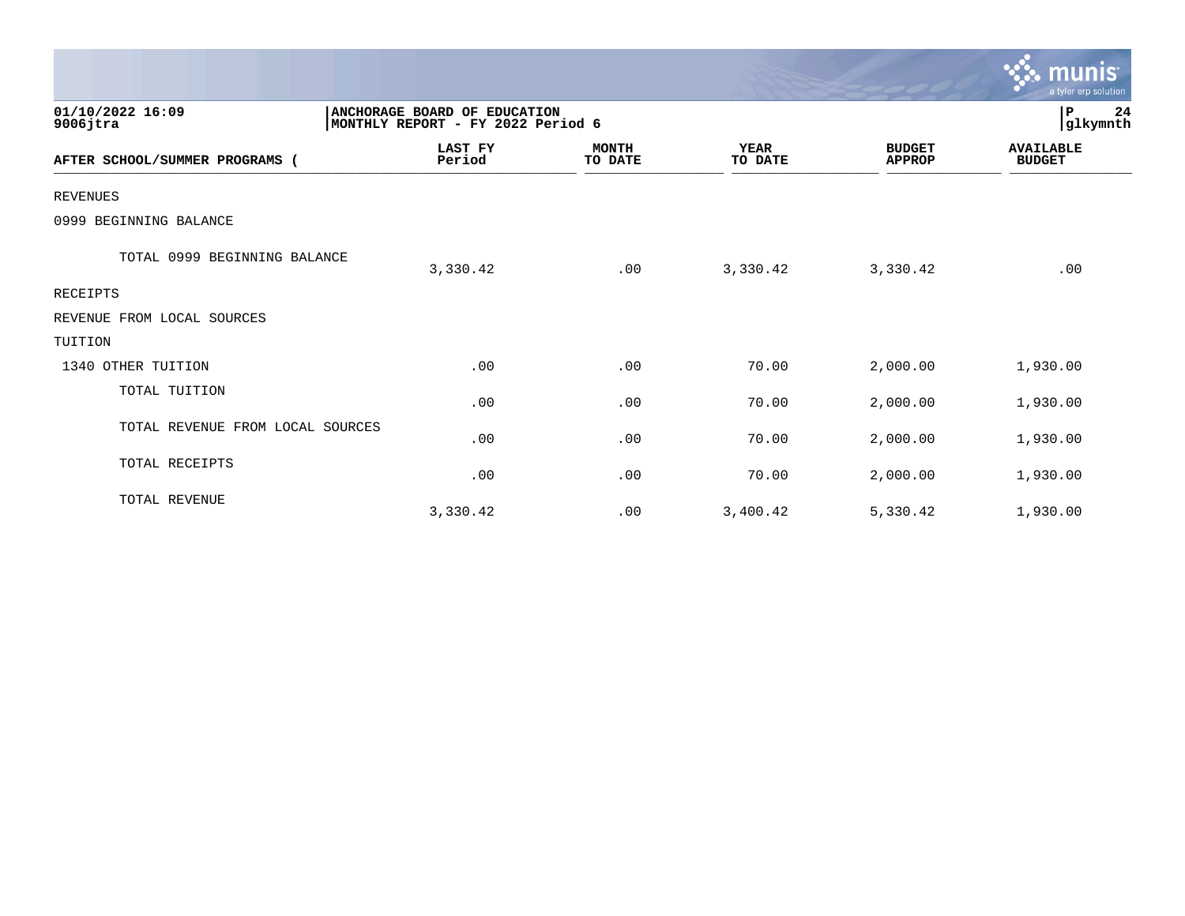|                                  |                                                                   |                         |                        |                                | <b>munis</b><br>a tyler erp solution |
|----------------------------------|-------------------------------------------------------------------|-------------------------|------------------------|--------------------------------|--------------------------------------|
| 01/10/2022 16:09<br>$9006$ jtra  | ANCHORAGE BOARD OF EDUCATION<br>MONTHLY REPORT - FY 2022 Period 6 |                         |                        |                                | 24<br>P<br>glkymnth                  |
| AFTER SCHOOL/SUMMER PROGRAMS     | <b>LAST FY</b><br>Period                                          | <b>MONTH</b><br>TO DATE | <b>YEAR</b><br>TO DATE | <b>BUDGET</b><br><b>APPROP</b> | <b>AVAILABLE</b><br><b>BUDGET</b>    |
| <b>REVENUES</b>                  |                                                                   |                         |                        |                                |                                      |
| 0999 BEGINNING BALANCE           |                                                                   |                         |                        |                                |                                      |
| TOTAL 0999 BEGINNING BALANCE     | 3,330.42                                                          | .00                     | 3,330.42               | 3,330.42                       | .00                                  |
| RECEIPTS                         |                                                                   |                         |                        |                                |                                      |
| REVENUE FROM LOCAL SOURCES       |                                                                   |                         |                        |                                |                                      |
| TUITION                          |                                                                   |                         |                        |                                |                                      |
| 1340 OTHER TUITION               | .00                                                               | .00                     | 70.00                  | 2,000.00                       | 1,930.00                             |
| TOTAL TUITION                    | .00                                                               | .00                     | 70.00                  | 2,000.00                       | 1,930.00                             |
| TOTAL REVENUE FROM LOCAL SOURCES | .00                                                               | .00                     | 70.00                  | 2,000.00                       | 1,930.00                             |
| TOTAL RECEIPTS                   | .00                                                               | .00                     | 70.00                  | 2,000.00                       | 1,930.00                             |
| TOTAL REVENUE                    | 3,330.42                                                          | .00                     | 3,400.42               | 5,330.42                       | 1,930.00                             |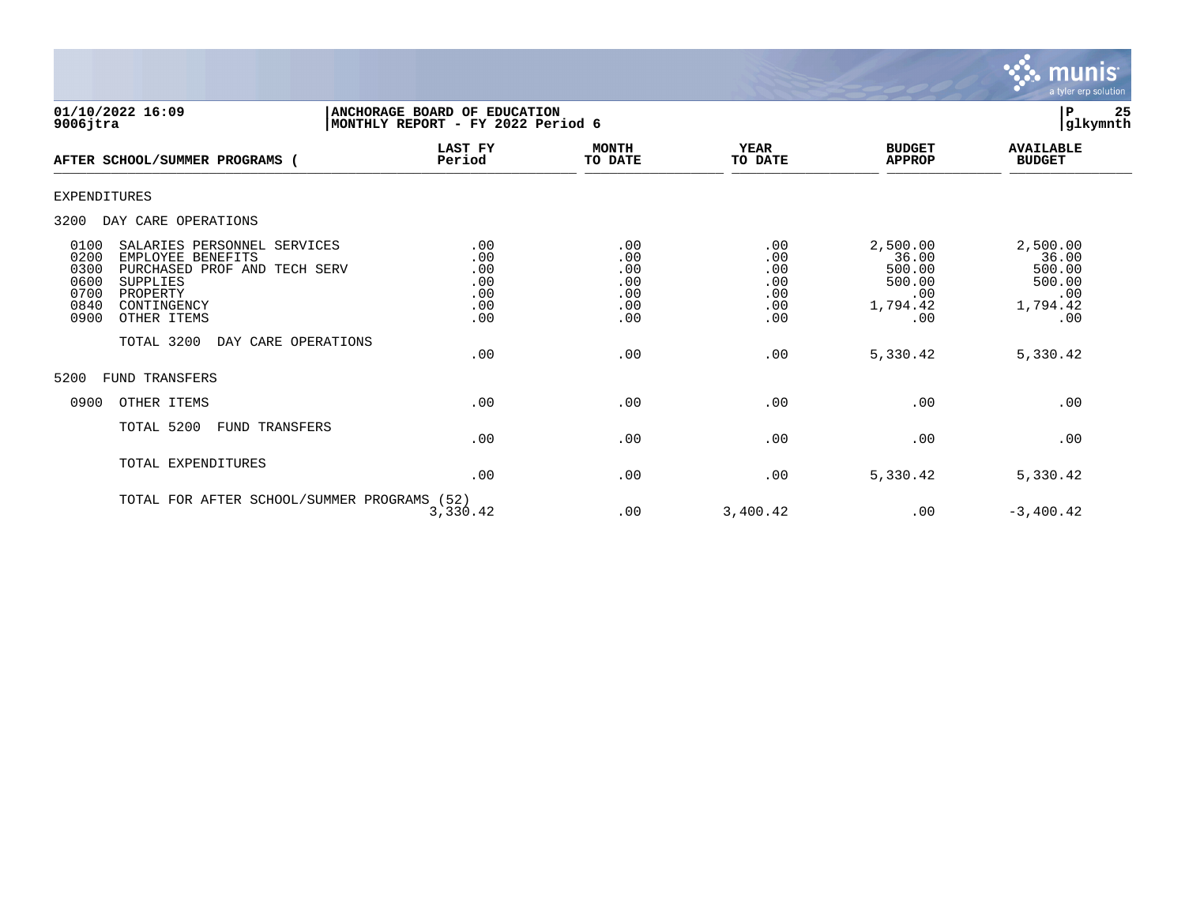

| 01/10/2022 16:09<br>$9006$ jtra                                                                                                                                                                              | ANCHORAGE BOARD OF EDUCATION<br>MONTHLY REPORT - FY 2022 Period 6    |                                               |                                               |                                                                 | 25<br>ΙP<br>glkymnth                                            |
|--------------------------------------------------------------------------------------------------------------------------------------------------------------------------------------------------------------|----------------------------------------------------------------------|-----------------------------------------------|-----------------------------------------------|-----------------------------------------------------------------|-----------------------------------------------------------------|
| AFTER SCHOOL/SUMMER PROGRAMS (                                                                                                                                                                               | <b>LAST FY</b><br>Period                                             | <b>MONTH</b><br>TO DATE                       | <b>YEAR</b><br>TO DATE                        | <b>BUDGET</b><br><b>APPROP</b>                                  | <b>AVAILABLE</b><br><b>BUDGET</b>                               |
| EXPENDITURES                                                                                                                                                                                                 |                                                                      |                                               |                                               |                                                                 |                                                                 |
| 3200<br>DAY CARE OPERATIONS                                                                                                                                                                                  |                                                                      |                                               |                                               |                                                                 |                                                                 |
| 0100<br>SALARIES PERSONNEL SERVICES<br>0200<br>EMPLOYEE BENEFITS<br>0300<br>PURCHASED PROF AND TECH SERV<br>0600<br>SUPPLIES<br>0700<br>PROPERTY<br>0840<br>CONTINGENCY<br>0900<br>OTHER ITEMS<br>TOTAL 3200 | .00<br>.00<br>.00<br>.00<br>.00<br>.00<br>.00<br>DAY CARE OPERATIONS | .00<br>.00<br>.00<br>.00<br>.00<br>.00<br>.00 | .00<br>.00<br>.00<br>.00<br>.00<br>.00<br>.00 | 2,500.00<br>36.00<br>500.00<br>500.00<br>.00<br>1,794.42<br>.00 | 2,500.00<br>36.00<br>500.00<br>500.00<br>.00<br>1,794.42<br>.00 |
|                                                                                                                                                                                                              | .00                                                                  | .00                                           | .00                                           | 5,330.42                                                        | 5,330.42                                                        |
| 5200<br><b>FUND TRANSFERS</b>                                                                                                                                                                                |                                                                      |                                               |                                               |                                                                 |                                                                 |
| 0900<br>OTHER ITEMS                                                                                                                                                                                          | .00                                                                  | .00                                           | .00                                           | .00                                                             | .00                                                             |
| TOTAL 5200<br><b>FUND TRANSFERS</b>                                                                                                                                                                          | .00                                                                  | .00                                           | .00                                           | .00                                                             | .00                                                             |
| TOTAL EXPENDITURES                                                                                                                                                                                           | .00                                                                  | .00                                           | .00                                           | 5,330.42                                                        | 5,330.42                                                        |
|                                                                                                                                                                                                              | TOTAL FOR AFTER SCHOOL/SUMMER PROGRAMS (52)<br>3,330.42              | .00                                           | 3,400.42                                      | .00                                                             | $-3,400.42$                                                     |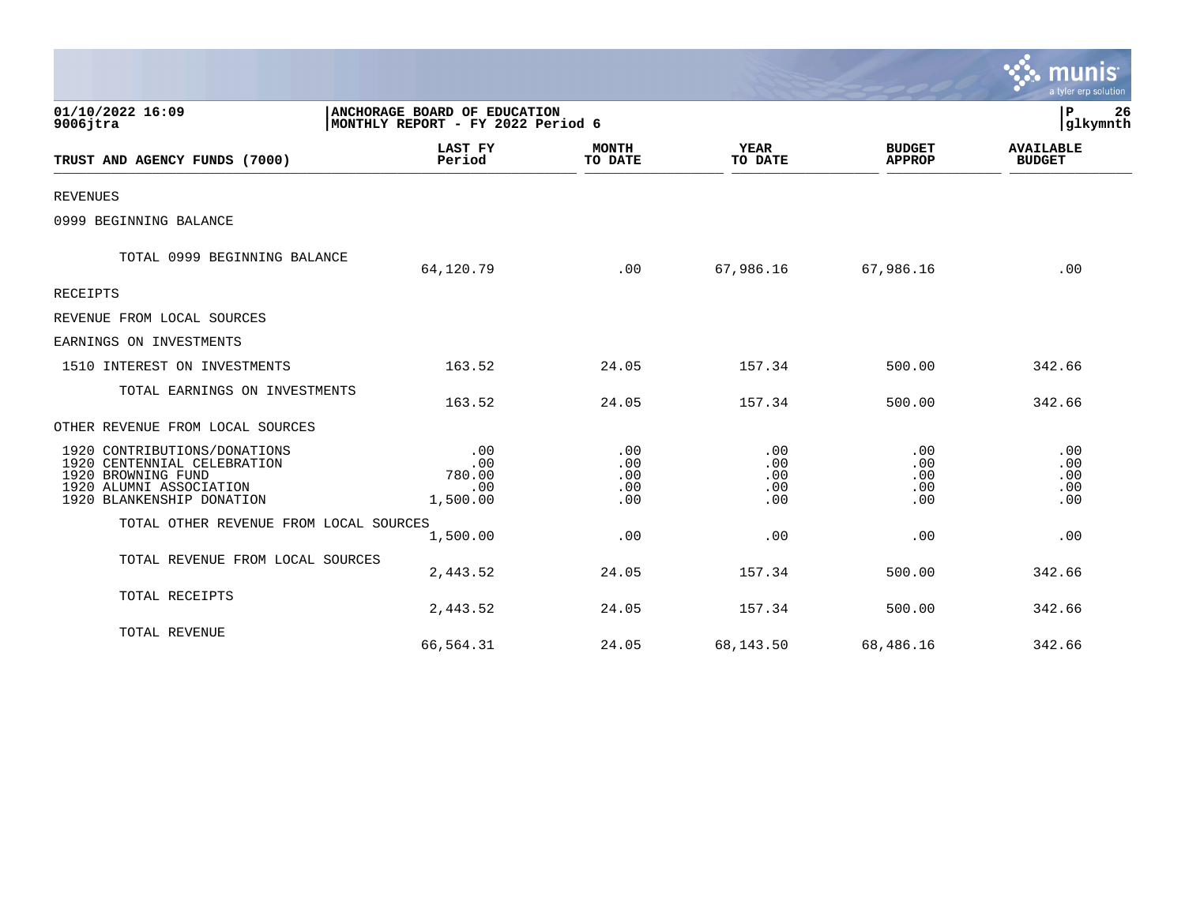|                                                                                                                                           |                                                                   |                                 |                                 |                                 | a tyler erp solution              |
|-------------------------------------------------------------------------------------------------------------------------------------------|-------------------------------------------------------------------|---------------------------------|---------------------------------|---------------------------------|-----------------------------------|
| 01/10/2022 16:09<br>$9006$ jtra                                                                                                           | ANCHORAGE BOARD OF EDUCATION<br>MONTHLY REPORT - FY 2022 Period 6 | P<br>26<br>glkymnth             |                                 |                                 |                                   |
| TRUST AND AGENCY FUNDS (7000)                                                                                                             | LAST FY<br>Period                                                 | <b>MONTH</b><br>TO DATE         | <b>YEAR</b><br>TO DATE          | <b>BUDGET</b><br><b>APPROP</b>  | <b>AVAILABLE</b><br><b>BUDGET</b> |
| <b>REVENUES</b>                                                                                                                           |                                                                   |                                 |                                 |                                 |                                   |
| 0999 BEGINNING BALANCE                                                                                                                    |                                                                   |                                 |                                 |                                 |                                   |
| TOTAL 0999 BEGINNING BALANCE                                                                                                              | 64,120.79                                                         | .00                             | 67,986.16                       | 67,986.16                       | .00                               |
| <b>RECEIPTS</b>                                                                                                                           |                                                                   |                                 |                                 |                                 |                                   |
| REVENUE FROM LOCAL SOURCES                                                                                                                |                                                                   |                                 |                                 |                                 |                                   |
| EARNINGS ON INVESTMENTS                                                                                                                   |                                                                   |                                 |                                 |                                 |                                   |
| 1510 INTEREST ON INVESTMENTS                                                                                                              | 163.52                                                            | 24.05                           | 157.34                          | 500.00                          | 342.66                            |
| TOTAL EARNINGS ON INVESTMENTS                                                                                                             | 163.52                                                            | 24.05                           | 157.34                          | 500.00                          | 342.66                            |
| OTHER REVENUE FROM LOCAL SOURCES                                                                                                          |                                                                   |                                 |                                 |                                 |                                   |
| 1920 CONTRIBUTIONS/DONATIONS<br>1920 CENTENNIAL CELEBRATION<br>1920 BROWNING FUND<br>1920 ALUMNI ASSOCIATION<br>1920 BLANKENSHIP DONATION | .00<br>.00<br>780.00<br>.00<br>1,500.00                           | .00<br>.00<br>.00<br>.00<br>.00 | .00<br>.00<br>.00<br>.00<br>.00 | .00<br>.00<br>.00<br>.00<br>.00 | .00<br>.00<br>.00<br>.00<br>.00   |
| TOTAL OTHER REVENUE FROM LOCAL SOURCES                                                                                                    | 1,500.00                                                          | .00                             | .00                             | .00                             | .00                               |
| TOTAL REVENUE FROM LOCAL SOURCES                                                                                                          | 2,443.52                                                          | 24.05                           | 157.34                          | 500.00                          | 342.66                            |
| TOTAL RECEIPTS                                                                                                                            | 2,443.52                                                          | 24.05                           | 157.34                          | 500.00                          | 342.66                            |
| TOTAL REVENUE                                                                                                                             | 66,564.31                                                         | 24.05                           | 68,143.50                       | 68,486.16                       | 342.66                            |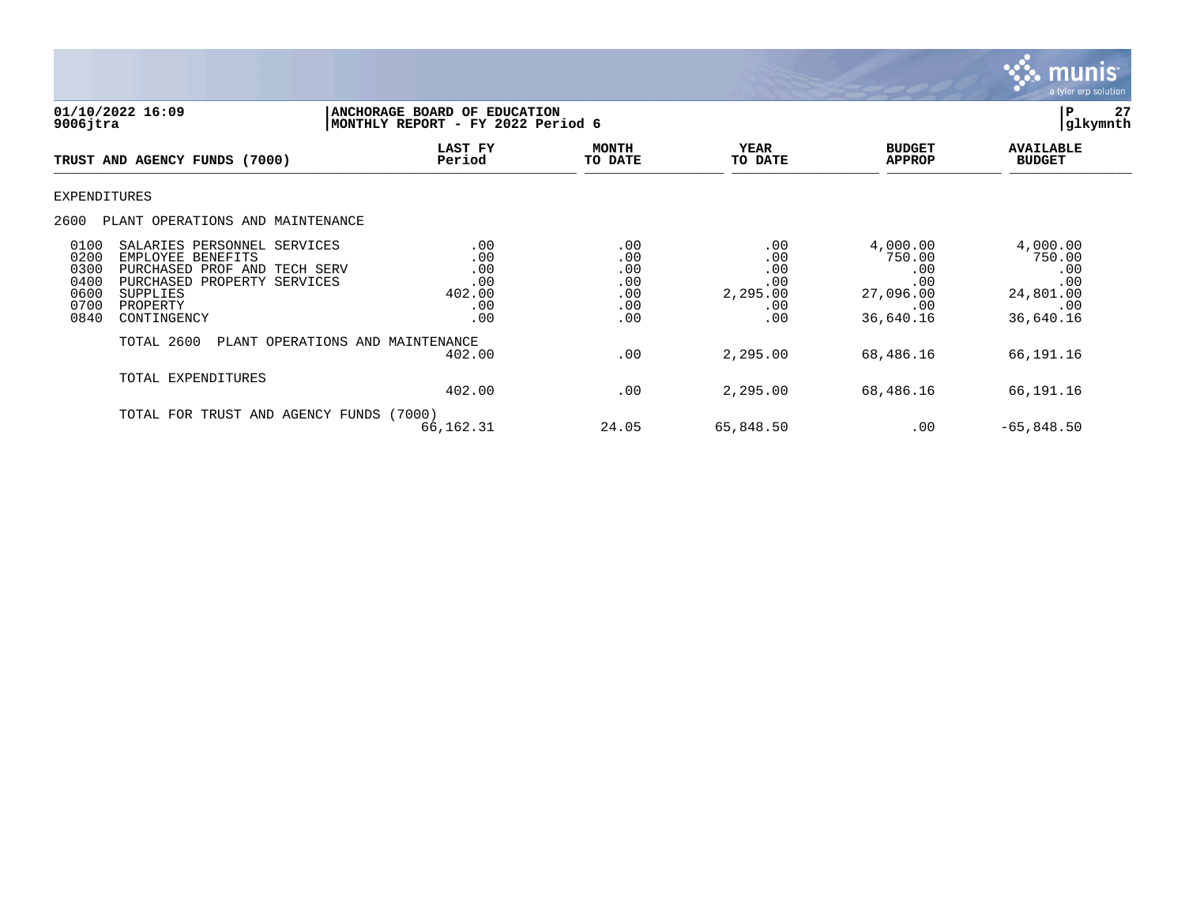

| 01/10/2022 16:09<br>$9006$ jtra                                                                                                                                                                                |                                                  | <b>ANCHORAGE BOARD OF EDUCATION</b><br>MONTHLY REPORT - FY 2022 Period 6 |                                                    |                                                                   |                                                                   |  |
|----------------------------------------------------------------------------------------------------------------------------------------------------------------------------------------------------------------|--------------------------------------------------|--------------------------------------------------------------------------|----------------------------------------------------|-------------------------------------------------------------------|-------------------------------------------------------------------|--|
| TRUST AND AGENCY FUNDS (7000)                                                                                                                                                                                  | LAST FY<br>Period                                | <b>MONTH</b><br>TO DATE                                                  | <b>YEAR</b><br>TO DATE                             | <b>BUDGET</b><br><b>APPROP</b>                                    | <b>AVAILABLE</b><br><b>BUDGET</b>                                 |  |
| EXPENDITURES                                                                                                                                                                                                   |                                                  |                                                                          |                                                    |                                                                   |                                                                   |  |
| 2600<br>PLANT OPERATIONS AND MAINTENANCE                                                                                                                                                                       |                                                  |                                                                          |                                                    |                                                                   |                                                                   |  |
| 0100<br>SALARIES PERSONNEL SERVICES<br>0200<br>EMPLOYEE BENEFITS<br>0300<br>PURCHASED PROF AND TECH SERV<br>0400<br>PURCHASED PROPERTY SERVICES<br>0600<br>SUPPLIES<br>0700<br>PROPERTY<br>0840<br>CONTINGENCY | .00<br>.00<br>.00<br>.00<br>402.00<br>.00<br>.00 | .00<br>.00<br>.00<br>.00<br>.00<br>.00<br>.00                            | .00<br>.00<br>.00<br>.00<br>2,295.00<br>.00<br>.00 | 4,000.00<br>750.00<br>.00<br>.00<br>27,096.00<br>.00<br>36,640.16 | 4,000.00<br>750.00<br>.00<br>.00<br>24,801.00<br>.00<br>36,640.16 |  |
| TOTAL 2600                                                                                                                                                                                                     | PLANT OPERATIONS AND MAINTENANCE<br>402.00       | .00                                                                      | 2,295.00                                           | 68,486.16                                                         | 66,191.16                                                         |  |
| TOTAL EXPENDITURES                                                                                                                                                                                             | 402.00                                           | .00                                                                      | 2,295.00                                           | 68,486.16                                                         | 66,191.16                                                         |  |
| TOTAL FOR TRUST AND AGENCY FUNDS (7000)                                                                                                                                                                        | 66,162.31                                        | 24.05                                                                    | 65,848.50                                          | .00                                                               | $-65,848.50$                                                      |  |